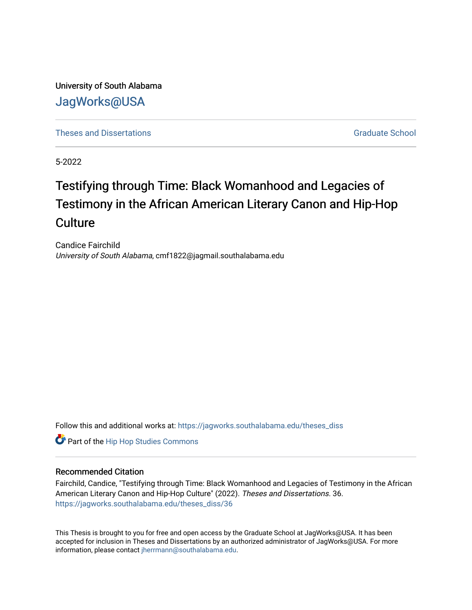University of South Alabama [JagWorks@USA](https://jagworks.southalabama.edu/) 

**[Theses and Dissertations](https://jagworks.southalabama.edu/theses_diss)** [Graduate School](https://jagworks.southalabama.edu/gradschool) **Contract of Contract Act 2016** Graduate School

5-2022

# Testifying through Time: Black Womanhood and Legacies of Testimony in the African American Literary Canon and Hip-Hop **Culture**

Candice Fairchild University of South Alabama, cmf1822@jagmail.southalabama.edu

Follow this and additional works at: [https://jagworks.southalabama.edu/theses\\_diss](https://jagworks.southalabama.edu/theses_diss?utm_source=jagworks.southalabama.edu%2Ftheses_diss%2F36&utm_medium=PDF&utm_campaign=PDFCoverPages) 

**Part of the Hip Hop Studies Commons** 

#### Recommended Citation

Fairchild, Candice, "Testifying through Time: Black Womanhood and Legacies of Testimony in the African American Literary Canon and Hip-Hop Culture" (2022). Theses and Dissertations. 36. [https://jagworks.southalabama.edu/theses\\_diss/36](https://jagworks.southalabama.edu/theses_diss/36?utm_source=jagworks.southalabama.edu%2Ftheses_diss%2F36&utm_medium=PDF&utm_campaign=PDFCoverPages) 

This Thesis is brought to you for free and open access by the Graduate School at JagWorks@USA. It has been accepted for inclusion in Theses and Dissertations by an authorized administrator of JagWorks@USA. For more information, please contact [jherrmann@southalabama.edu.](mailto:jherrmann@southalabama.edu)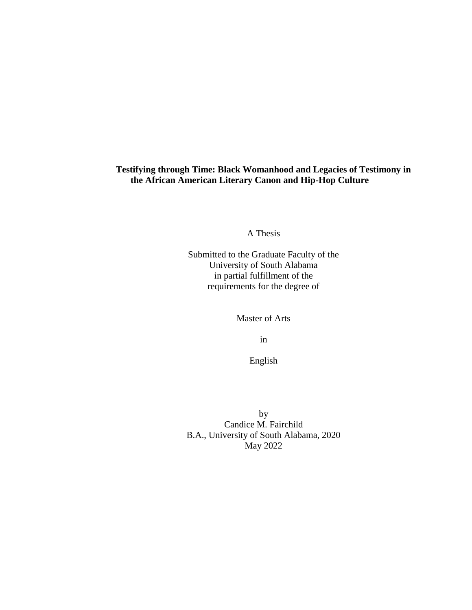#### **Testifying through Time: Black Womanhood and Legacies of Testimony in the African American Literary Canon and Hip-Hop Culture**

A Thesis

Submitted to the Graduate Faculty of the University of South Alabama in partial fulfillment of the requirements for the degree of

Master of Arts

in

English

by Candice M. Fairchild B.A., University of South Alabama, 2020 May 2022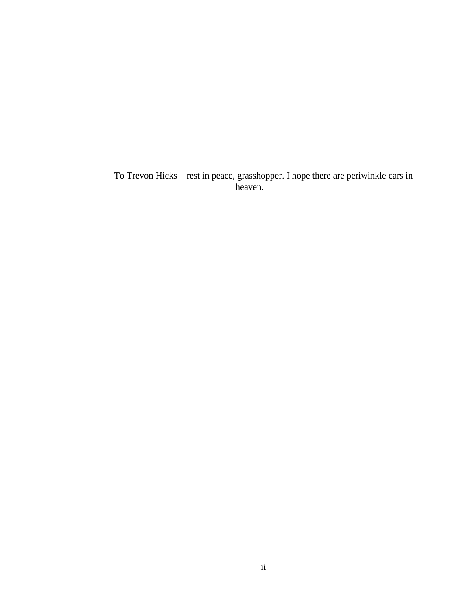To Trevon Hicks—rest in peace, grasshopper. I hope there are periwinkle cars in heaven.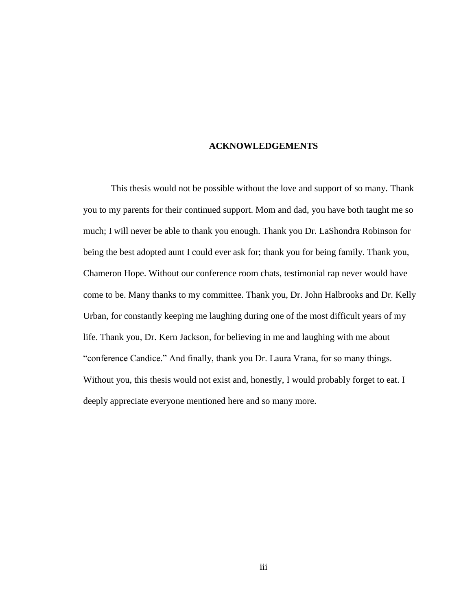#### **ACKNOWLEDGEMENTS**

This thesis would not be possible without the love and support of so many. Thank you to my parents for their continued support. Mom and dad, you have both taught me so much; I will never be able to thank you enough. Thank you Dr. LaShondra Robinson for being the best adopted aunt I could ever ask for; thank you for being family. Thank you, Chameron Hope. Without our conference room chats, testimonial rap never would have come to be. Many thanks to my committee. Thank you, Dr. John Halbrooks and Dr. Kelly Urban, for constantly keeping me laughing during one of the most difficult years of my life. Thank you, Dr. Kern Jackson, for believing in me and laughing with me about "conference Candice." And finally, thank you Dr. Laura Vrana, for so many things. Without you, this thesis would not exist and, honestly, I would probably forget to eat. I deeply appreciate everyone mentioned here and so many more.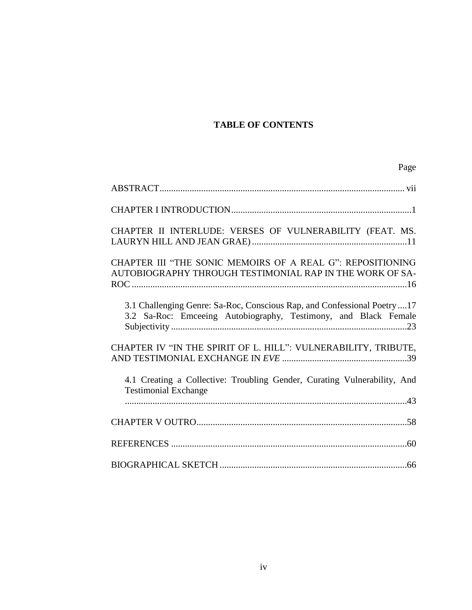### **TABLE OF CONTENTS**

| Page                                                                                                                                         |
|----------------------------------------------------------------------------------------------------------------------------------------------|
|                                                                                                                                              |
|                                                                                                                                              |
| CHAPTER II INTERLUDE: VERSES OF VULNERABILITY (FEAT. MS.                                                                                     |
| CHAPTER III "THE SONIC MEMOIRS OF A REAL G": REPOSITIONING<br>AUTOBIOGRAPHY THROUGH TESTIMONIAL RAP IN THE WORK OF SA-                       |
| 3.1 Challenging Genre: Sa-Roc, Conscious Rap, and Confessional Poetry  17<br>3.2 Sa-Roc: Emceeing Autobiography, Testimony, and Black Female |
| CHAPTER IV "IN THE SPIRIT OF L. HILL": VULNERABILITY, TRIBUTE,                                                                               |
| 4.1 Creating a Collective: Troubling Gender, Curating Vulnerability, And<br><b>Testimonial Exchange</b>                                      |
|                                                                                                                                              |
|                                                                                                                                              |
|                                                                                                                                              |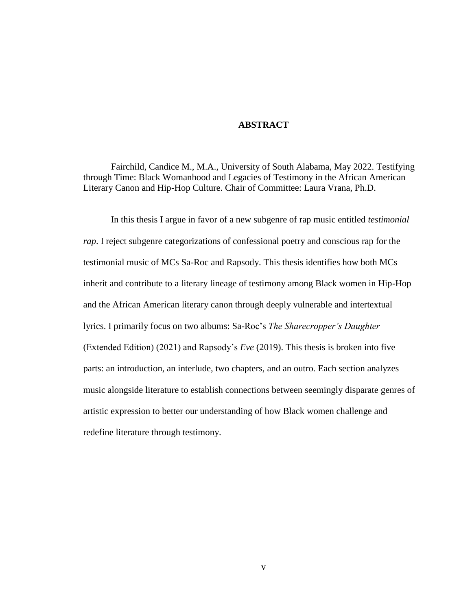#### **ABSTRACT**

Fairchild, Candice M., M.A., University of South Alabama, May 2022. Testifying through Time: Black Womanhood and Legacies of Testimony in the African American Literary Canon and Hip-Hop Culture. Chair of Committee: Laura Vrana, Ph.D.

In this thesis I argue in favor of a new subgenre of rap music entitled *testimonial rap*. I reject subgenre categorizations of confessional poetry and conscious rap for the testimonial music of MCs Sa-Roc and Rapsody. This thesis identifies how both MCs inherit and contribute to a literary lineage of testimony among Black women in Hip-Hop and the African American literary canon through deeply vulnerable and intertextual lyrics. I primarily focus on two albums: Sa-Roc's *The Sharecropper's Daughter* (Extended Edition) (2021) and Rapsody's *Eve* (2019). This thesis is broken into five parts: an introduction, an interlude, two chapters, and an outro. Each section analyzes music alongside literature to establish connections between seemingly disparate genres of artistic expression to better our understanding of how Black women challenge and redefine literature through testimony.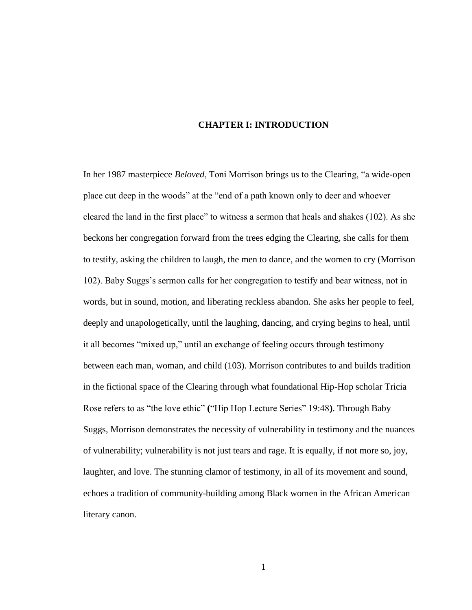#### **CHAPTER I: INTRODUCTION**

In her 1987 masterpiece *Beloved*, Toni Morrison brings us to the Clearing, "a wide-open place cut deep in the woods" at the "end of a path known only to deer and whoever cleared the land in the first place" to witness a sermon that heals and shakes (102). As she beckons her congregation forward from the trees edging the Clearing, she calls for them to testify, asking the children to laugh, the men to dance, and the women to cry (Morrison 102). Baby Suggs's sermon calls for her congregation to testify and bear witness, not in words, but in sound, motion, and liberating reckless abandon. She asks her people to feel, deeply and unapologetically, until the laughing, dancing, and crying begins to heal, until it all becomes "mixed up," until an exchange of feeling occurs through testimony between each man, woman, and child (103). Morrison contributes to and builds tradition in the fictional space of the Clearing through what foundational Hip-Hop scholar Tricia Rose refers to as "the love ethic" **(**"Hip Hop Lecture Series" 19:48**)**. Through Baby Suggs, Morrison demonstrates the necessity of vulnerability in testimony and the nuances of vulnerability; vulnerability is not just tears and rage. It is equally, if not more so, joy, laughter, and love. The stunning clamor of testimony, in all of its movement and sound, echoes a tradition of community-building among Black women in the African American literary canon.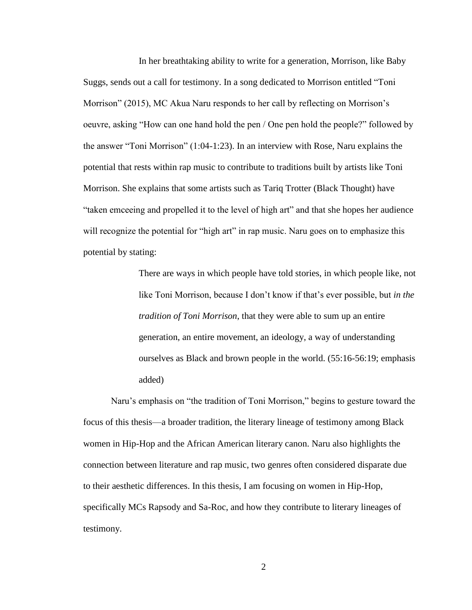In her breathtaking ability to write for a generation, Morrison, like Baby Suggs, sends out a call for testimony. In a song dedicated to Morrison entitled "Toni Morrison" (2015), MC Akua Naru responds to her call by reflecting on Morrison's oeuvre, asking "How can one hand hold the pen / One pen hold the people?" followed by the answer "Toni Morrison" (1:04-1:23). In an interview with Rose, Naru explains the potential that rests within rap music to contribute to traditions built by artists like Toni Morrison. She explains that some artists such as Tariq Trotter (Black Thought) have "taken emceeing and propelled it to the level of high art" and that she hopes her audience will recognize the potential for "high art" in rap music. Naru goes on to emphasize this potential by stating:

> There are ways in which people have told stories, in which people like, not like Toni Morrison, because I don't know if that's ever possible, but *in the tradition of Toni Morrison*, that they were able to sum up an entire generation, an entire movement, an ideology, a way of understanding ourselves as Black and brown people in the world. (55:16-56:19; emphasis added)

Naru's emphasis on "the tradition of Toni Morrison," begins to gesture toward the focus of this thesis—a broader tradition, the literary lineage of testimony among Black women in Hip-Hop and the African American literary canon. Naru also highlights the connection between literature and rap music, two genres often considered disparate due to their aesthetic differences. In this thesis, I am focusing on women in Hip-Hop, specifically MCs Rapsody and Sa-Roc, and how they contribute to literary lineages of testimony.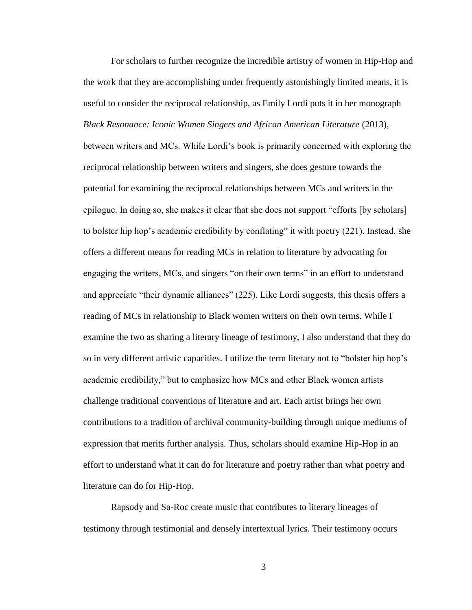For scholars to further recognize the incredible artistry of women in Hip-Hop and the work that they are accomplishing under frequently astonishingly limited means, it is useful to consider the reciprocal relationship, as Emily Lordi puts it in her monograph *Black Resonance: Iconic Women Singers and African American Literature* (2013), between writers and MCs. While Lordi's book is primarily concerned with exploring the reciprocal relationship between writers and singers, she does gesture towards the potential for examining the reciprocal relationships between MCs and writers in the epilogue. In doing so, she makes it clear that she does not support "efforts [by scholars] to bolster hip hop's academic credibility by conflating" it with poetry (221). Instead, she offers a different means for reading MCs in relation to literature by advocating for engaging the writers, MCs, and singers "on their own terms" in an effort to understand and appreciate "their dynamic alliances" (225). Like Lordi suggests, this thesis offers a reading of MCs in relationship to Black women writers on their own terms. While I examine the two as sharing a literary lineage of testimony, I also understand that they do so in very different artistic capacities. I utilize the term literary not to "bolster hip hop's academic credibility," but to emphasize how MCs and other Black women artists challenge traditional conventions of literature and art. Each artist brings her own contributions to a tradition of archival community-building through unique mediums of expression that merits further analysis. Thus, scholars should examine Hip-Hop in an effort to understand what it can do for literature and poetry rather than what poetry and literature can do for Hip-Hop.

Rapsody and Sa-Roc create music that contributes to literary lineages of testimony through testimonial and densely intertextual lyrics. Their testimony occurs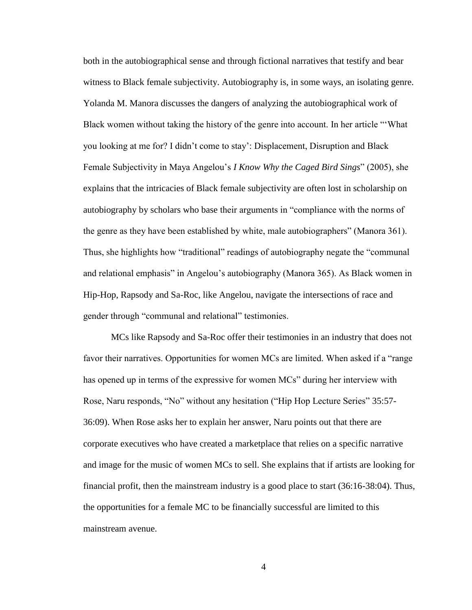both in the autobiographical sense and through fictional narratives that testify and bear witness to Black female subjectivity. Autobiography is, in some ways, an isolating genre. Yolanda M. Manora discusses the dangers of analyzing the autobiographical work of Black women without taking the history of the genre into account. In her article "'What you looking at me for? I didn't come to stay': Displacement, Disruption and Black Female Subjectivity in Maya Angelou's *I Know Why the Caged Bird Sings*" (2005), she explains that the intricacies of Black female subjectivity are often lost in scholarship on autobiography by scholars who base their arguments in "compliance with the norms of the genre as they have been established by white, male autobiographers" (Manora 361). Thus, she highlights how "traditional" readings of autobiography negate the "communal and relational emphasis" in Angelou's autobiography (Manora 365). As Black women in Hip-Hop, Rapsody and Sa-Roc, like Angelou, navigate the intersections of race and gender through "communal and relational" testimonies.

MCs like Rapsody and Sa-Roc offer their testimonies in an industry that does not favor their narratives. Opportunities for women MCs are limited. When asked if a "range has opened up in terms of the expressive for women MCs" during her interview with Rose, Naru responds, "No" without any hesitation ("Hip Hop Lecture Series" 35:57- 36:09). When Rose asks her to explain her answer, Naru points out that there are corporate executives who have created a marketplace that relies on a specific narrative and image for the music of women MCs to sell. She explains that if artists are looking for financial profit, then the mainstream industry is a good place to start (36:16-38:04). Thus, the opportunities for a female MC to be financially successful are limited to this mainstream avenue.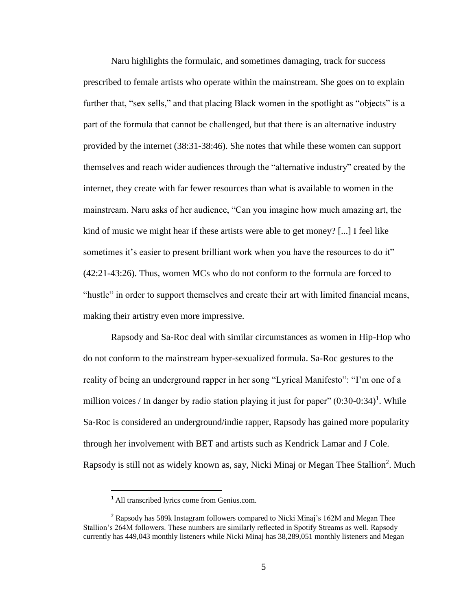Naru highlights the formulaic, and sometimes damaging, track for success prescribed to female artists who operate within the mainstream. She goes on to explain further that, "sex sells," and that placing Black women in the spotlight as "objects" is a part of the formula that cannot be challenged, but that there is an alternative industry provided by the internet (38:31-38:46). She notes that while these women can support themselves and reach wider audiences through the "alternative industry" created by the internet, they create with far fewer resources than what is available to women in the mainstream. Naru asks of her audience, "Can you imagine how much amazing art, the kind of music we might hear if these artists were able to get money? [...] I feel like sometimes it's easier to present brilliant work when you have the resources to do it" (42:21-43:26). Thus, women MCs who do not conform to the formula are forced to "hustle" in order to support themselves and create their art with limited financial means, making their artistry even more impressive.

Rapsody and Sa-Roc deal with similar circumstances as women in Hip-Hop who do not conform to the mainstream hyper-sexualized formula. Sa-Roc gestures to the reality of being an underground rapper in her song "Lyrical Manifesto": "I'm one of a million voices / In danger by radio station playing it just for paper"  $(0:30-0:34)^1$ . While Sa-Roc is considered an underground/indie rapper, Rapsody has gained more popularity through her involvement with BET and artists such as Kendrick Lamar and J Cole. Rapsody is still not as widely known as, say, Nicki Minaj or Megan Thee Stallion<sup>2</sup>. Much

 $\overline{\phantom{a}}$ 

<sup>1</sup> All transcribed lyrics come from Genius.com.

<sup>&</sup>lt;sup>2</sup> Rapsody has 589k Instagram followers compared to Nicki Minaj's 162M and Megan Thee Stallion's 264M followers. These numbers are similarly reflected in Spotify Streams as well. Rapsody currently has 449,043 monthly listeners while Nicki Minaj has 38,289,051 monthly listeners and Megan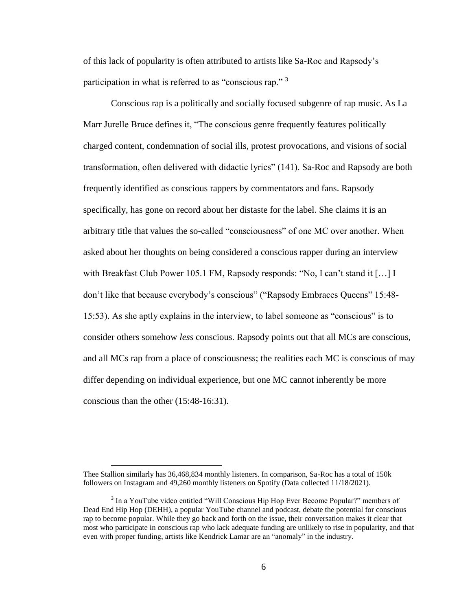of this lack of popularity is often attributed to artists like Sa-Roc and Rapsody's participation in what is referred to as "conscious rap."<sup>3</sup>

Conscious rap is a politically and socially focused subgenre of rap music. As La Marr Jurelle Bruce defines it, "The conscious genre frequently features politically charged content, condemnation of social ills, protest provocations, and visions of social transformation, often delivered with didactic lyrics" (141). Sa-Roc and Rapsody are both frequently identified as conscious rappers by commentators and fans. Rapsody specifically, has gone on record about her distaste for the label. She claims it is an arbitrary title that values the so-called "consciousness" of one MC over another. When asked about her thoughts on being considered a conscious rapper during an interview with Breakfast Club Power 105.1 FM, Rapsody responds: "No, I can't stand it […] I don't like that because everybody's conscious" ("Rapsody Embraces Queens" 15:48- 15:53). As she aptly explains in the interview, to label someone as "conscious" is to consider others somehow *less* conscious. Rapsody points out that all MCs are conscious, and all MCs rap from a place of consciousness; the realities each MC is conscious of may differ depending on individual experience, but one MC cannot inherently be more conscious than the other (15:48-16:31).

 $\overline{a}$ 

Thee Stallion similarly has 36,468,834 monthly listeners. In comparison, Sa-Roc has a total of 150k followers on Instagram and 49,260 monthly listeners on Spotify (Data collected 11/18/2021).

<sup>&</sup>lt;sup>3</sup> In a YouTube video entitled "Will Conscious Hip Hop Ever Become Popular?" members of Dead End Hip Hop (DEHH), a popular YouTube channel and podcast, debate the potential for conscious rap to become popular. While they go back and forth on the issue, their conversation makes it clear that most who participate in conscious rap who lack adequate funding are unlikely to rise in popularity, and that even with proper funding, artists like Kendrick Lamar are an "anomaly" in the industry.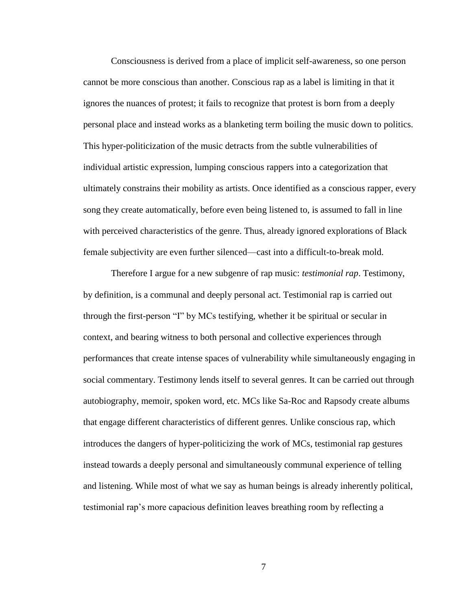Consciousness is derived from a place of implicit self-awareness, so one person cannot be more conscious than another. Conscious rap as a label is limiting in that it ignores the nuances of protest; it fails to recognize that protest is born from a deeply personal place and instead works as a blanketing term boiling the music down to politics. This hyper-politicization of the music detracts from the subtle vulnerabilities of individual artistic expression, lumping conscious rappers into a categorization that ultimately constrains their mobility as artists. Once identified as a conscious rapper, every song they create automatically, before even being listened to, is assumed to fall in line with perceived characteristics of the genre. Thus, already ignored explorations of Black female subjectivity are even further silenced—cast into a difficult-to-break mold.

Therefore I argue for a new subgenre of rap music: *testimonial rap*. Testimony, by definition, is a communal and deeply personal act. Testimonial rap is carried out through the first-person "I" by MCs testifying, whether it be spiritual or secular in context, and bearing witness to both personal and collective experiences through performances that create intense spaces of vulnerability while simultaneously engaging in social commentary. Testimony lends itself to several genres. It can be carried out through autobiography, memoir, spoken word, etc. MCs like Sa-Roc and Rapsody create albums that engage different characteristics of different genres. Unlike conscious rap, which introduces the dangers of hyper-politicizing the work of MCs, testimonial rap gestures instead towards a deeply personal and simultaneously communal experience of telling and listening. While most of what we say as human beings is already inherently political, testimonial rap's more capacious definition leaves breathing room by reflecting a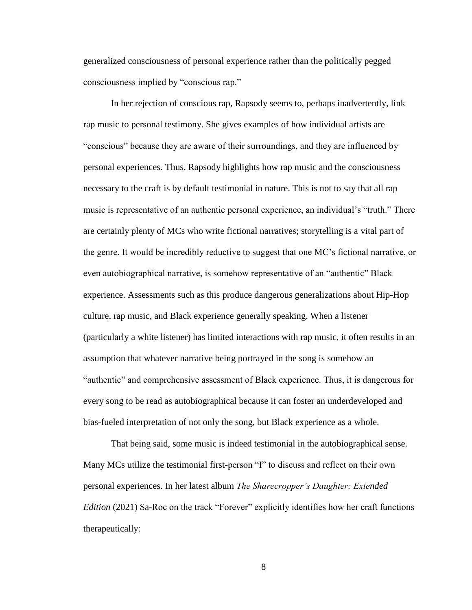generalized consciousness of personal experience rather than the politically pegged consciousness implied by "conscious rap."

In her rejection of conscious rap, Rapsody seems to, perhaps inadvertently, link rap music to personal testimony. She gives examples of how individual artists are "conscious" because they are aware of their surroundings, and they are influenced by personal experiences. Thus, Rapsody highlights how rap music and the consciousness necessary to the craft is by default testimonial in nature. This is not to say that all rap music is representative of an authentic personal experience, an individual's "truth." There are certainly plenty of MCs who write fictional narratives; storytelling is a vital part of the genre. It would be incredibly reductive to suggest that one MC's fictional narrative, or even autobiographical narrative, is somehow representative of an "authentic" Black experience. Assessments such as this produce dangerous generalizations about Hip-Hop culture, rap music, and Black experience generally speaking. When a listener (particularly a white listener) has limited interactions with rap music, it often results in an assumption that whatever narrative being portrayed in the song is somehow an "authentic" and comprehensive assessment of Black experience. Thus, it is dangerous for every song to be read as autobiographical because it can foster an underdeveloped and bias-fueled interpretation of not only the song, but Black experience as a whole.

That being said, some music is indeed testimonial in the autobiographical sense. Many MCs utilize the testimonial first-person "I" to discuss and reflect on their own personal experiences. In her latest album *The Sharecropper's Daughter: Extended Edition* (2021) Sa-Roc on the track "Forever" explicitly identifies how her craft functions therapeutically: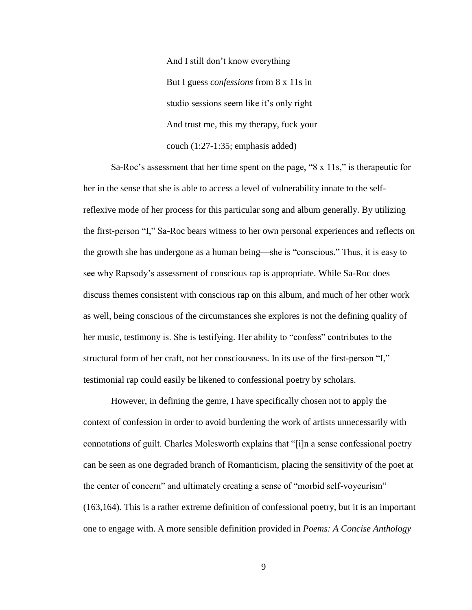And I still don't know everything But I guess *confessions* from 8 x 11s in studio sessions seem like it's only right And trust me, this my therapy, fuck your couch (1:27-1:35; emphasis added)

Sa-Roc's assessment that her time spent on the page, "8 x 11s," is therapeutic for her in the sense that she is able to access a level of vulnerability innate to the selfreflexive mode of her process for this particular song and album generally. By utilizing the first-person "I," Sa-Roc bears witness to her own personal experiences and reflects on the growth she has undergone as a human being—she is "conscious." Thus, it is easy to see why Rapsody's assessment of conscious rap is appropriate. While Sa-Roc does discuss themes consistent with conscious rap on this album, and much of her other work as well, being conscious of the circumstances she explores is not the defining quality of her music, testimony is. She is testifying. Her ability to "confess" contributes to the structural form of her craft, not her consciousness. In its use of the first-person "I," testimonial rap could easily be likened to confessional poetry by scholars.

However, in defining the genre, I have specifically chosen not to apply the context of confession in order to avoid burdening the work of artists unnecessarily with connotations of guilt. Charles Molesworth explains that "[i]n a sense confessional poetry can be seen as one degraded branch of Romanticism, placing the sensitivity of the poet at the center of concern" and ultimately creating a sense of "morbid self-voyeurism" (163,164). This is a rather extreme definition of confessional poetry, but it is an important one to engage with. A more sensible definition provided in *Poems: A Concise Anthology*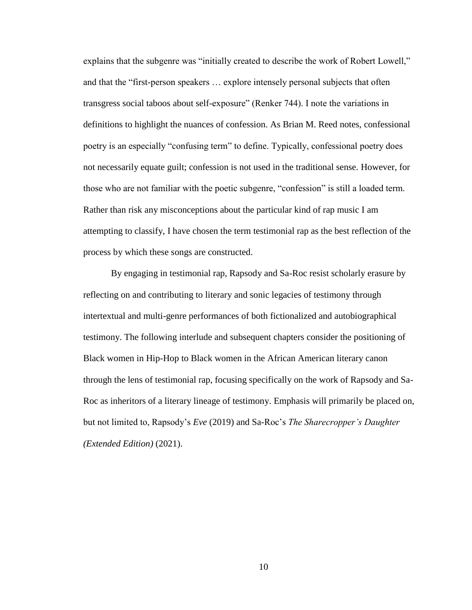explains that the subgenre was "initially created to describe the work of Robert Lowell," and that the "first-person speakers … explore intensely personal subjects that often transgress social taboos about self-exposure" (Renker 744). I note the variations in definitions to highlight the nuances of confession. As Brian M. Reed notes, confessional poetry is an especially "confusing term" to define. Typically, confessional poetry does not necessarily equate guilt; confession is not used in the traditional sense. However, for those who are not familiar with the poetic subgenre, "confession" is still a loaded term. Rather than risk any misconceptions about the particular kind of rap music I am attempting to classify, I have chosen the term testimonial rap as the best reflection of the process by which these songs are constructed.

By engaging in testimonial rap, Rapsody and Sa-Roc resist scholarly erasure by reflecting on and contributing to literary and sonic legacies of testimony through intertextual and multi-genre performances of both fictionalized and autobiographical testimony. The following interlude and subsequent chapters consider the positioning of Black women in Hip-Hop to Black women in the African American literary canon through the lens of testimonial rap, focusing specifically on the work of Rapsody and Sa-Roc as inheritors of a literary lineage of testimony. Emphasis will primarily be placed on, but not limited to, Rapsody's *Eve* (2019) and Sa-Roc's *The Sharecropper's Daughter (Extended Edition)* (2021).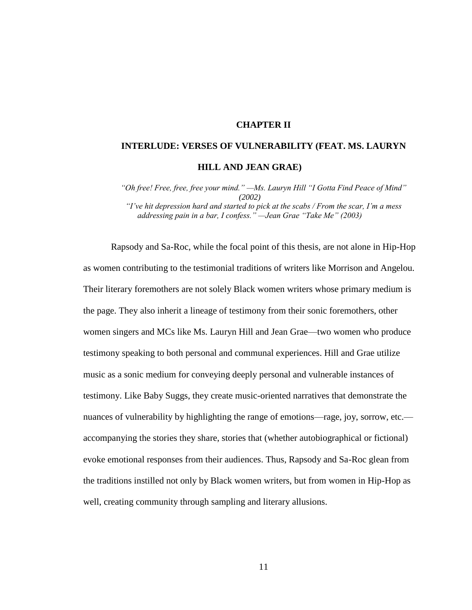#### **CHAPTER II**

#### **INTERLUDE: VERSES OF VULNERABILITY (FEAT. MS. LAURYN**

**HILL AND JEAN GRAE)**

*"Oh free! Free, free, free your mind." —Ms. Lauryn Hill "I Gotta Find Peace of Mind" (2002) "I've hit depression hard and started to pick at the scabs / From the scar, I'm a mess addressing pain in a bar, I confess." —Jean Grae "Take Me" (2003)*

Rapsody and Sa-Roc, while the focal point of this thesis, are not alone in Hip-Hop as women contributing to the testimonial traditions of writers like Morrison and Angelou. Their literary foremothers are not solely Black women writers whose primary medium is the page. They also inherit a lineage of testimony from their sonic foremothers, other women singers and MCs like Ms. Lauryn Hill and Jean Grae—two women who produce testimony speaking to both personal and communal experiences. Hill and Grae utilize music as a sonic medium for conveying deeply personal and vulnerable instances of testimony. Like Baby Suggs, they create music-oriented narratives that demonstrate the nuances of vulnerability by highlighting the range of emotions—rage, joy, sorrow, etc. accompanying the stories they share, stories that (whether autobiographical or fictional) evoke emotional responses from their audiences. Thus, Rapsody and Sa-Roc glean from the traditions instilled not only by Black women writers, but from women in Hip-Hop as well, creating community through sampling and literary allusions.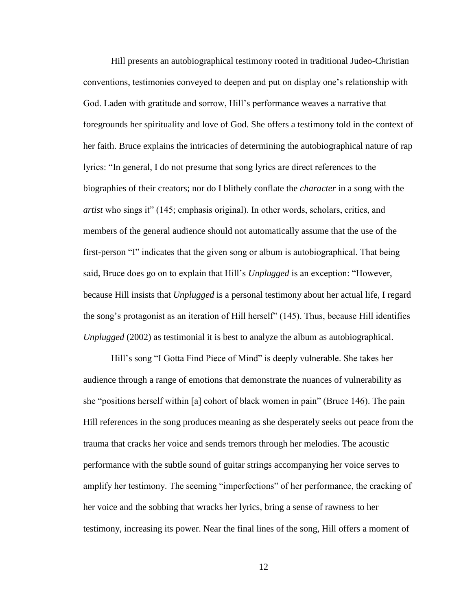Hill presents an autobiographical testimony rooted in traditional Judeo-Christian conventions, testimonies conveyed to deepen and put on display one's relationship with God. Laden with gratitude and sorrow, Hill's performance weaves a narrative that foregrounds her spirituality and love of God. She offers a testimony told in the context of her faith. Bruce explains the intricacies of determining the autobiographical nature of rap lyrics: "In general, I do not presume that song lyrics are direct references to the biographies of their creators; nor do I blithely conflate the *character* in a song with the *artist* who sings it" (145; emphasis original). In other words, scholars, critics, and members of the general audience should not automatically assume that the use of the first-person "I" indicates that the given song or album is autobiographical. That being said, Bruce does go on to explain that Hill's *Unplugged* is an exception: "However, because Hill insists that *Unplugged* is a personal testimony about her actual life, I regard the song's protagonist as an iteration of Hill herself" (145). Thus, because Hill identifies *Unplugged* (2002) as testimonial it is best to analyze the album as autobiographical.

Hill's song "I Gotta Find Piece of Mind" is deeply vulnerable. She takes her audience through a range of emotions that demonstrate the nuances of vulnerability as she "positions herself within [a] cohort of black women in pain" (Bruce 146). The pain Hill references in the song produces meaning as she desperately seeks out peace from the trauma that cracks her voice and sends tremors through her melodies. The acoustic performance with the subtle sound of guitar strings accompanying her voice serves to amplify her testimony. The seeming "imperfections" of her performance, the cracking of her voice and the sobbing that wracks her lyrics, bring a sense of rawness to her testimony, increasing its power. Near the final lines of the song, Hill offers a moment of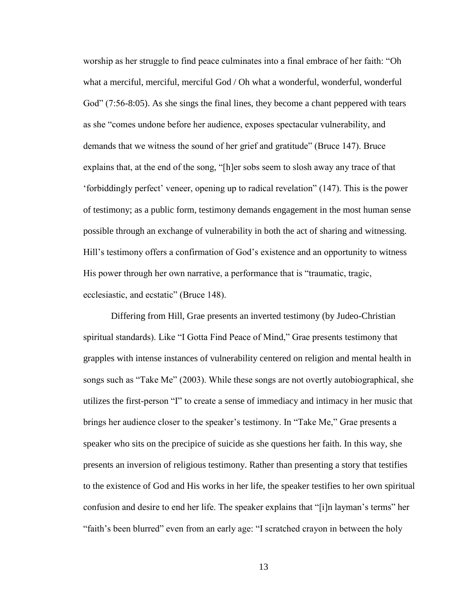worship as her struggle to find peace culminates into a final embrace of her faith: "Oh what a merciful, merciful, merciful God / Oh what a wonderful, wonderful, wonderful God" (7:56-8:05). As she sings the final lines, they become a chant peppered with tears as she "comes undone before her audience, exposes spectacular vulnerability, and demands that we witness the sound of her grief and gratitude" (Bruce 147). Bruce explains that, at the end of the song, "[h]er sobs seem to slosh away any trace of that 'forbiddingly perfect' veneer, opening up to radical revelation" (147). This is the power of testimony; as a public form, testimony demands engagement in the most human sense possible through an exchange of vulnerability in both the act of sharing and witnessing. Hill's testimony offers a confirmation of God's existence and an opportunity to witness His power through her own narrative, a performance that is "traumatic, tragic, ecclesiastic, and ecstatic" (Bruce 148).

Differing from Hill, Grae presents an inverted testimony (by Judeo-Christian spiritual standards). Like "I Gotta Find Peace of Mind," Grae presents testimony that grapples with intense instances of vulnerability centered on religion and mental health in songs such as "Take Me" (2003). While these songs are not overtly autobiographical, she utilizes the first-person "I" to create a sense of immediacy and intimacy in her music that brings her audience closer to the speaker's testimony. In "Take Me," Grae presents a speaker who sits on the precipice of suicide as she questions her faith. In this way, she presents an inversion of religious testimony. Rather than presenting a story that testifies to the existence of God and His works in her life, the speaker testifies to her own spiritual confusion and desire to end her life. The speaker explains that "[i]n layman's terms" her "faith's been blurred" even from an early age: "I scratched crayon in between the holy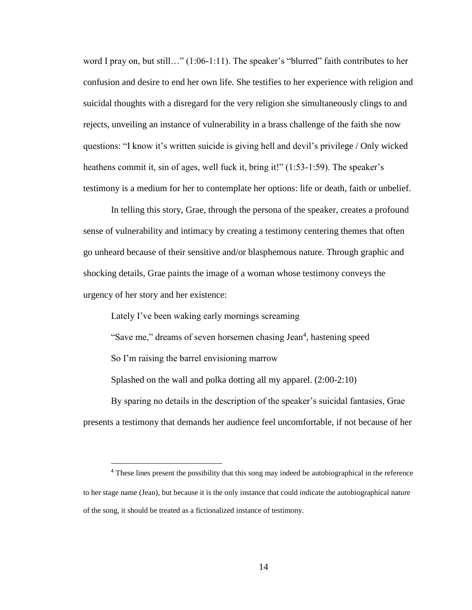word I pray on, but still..." (1:06-1:11). The speaker's "blurred" faith contributes to her confusion and desire to end her own life. She testifies to her experience with religion and suicidal thoughts with a disregard for the very religion she simultaneously clings to and rejects, unveiling an instance of vulnerability in a brass challenge of the faith she now questions: "I know it's written suicide is giving hell and devil's privilege / Only wicked heathens commit it, sin of ages, well fuck it, bring it!" (1:53-1:59). The speaker's testimony is a medium for her to contemplate her options: life or death, faith or unbelief.

In telling this story, Grae, through the persona of the speaker, creates a profound sense of vulnerability and intimacy by creating a testimony centering themes that often go unheard because of their sensitive and/or blasphemous nature. Through graphic and shocking details, Grae paints the image of a woman whose testimony conveys the urgency of her story and her existence:

Lately I've been waking early mornings screaming

"Save me," dreams of seven horsemen chasing Jean<sup>4</sup>, hastening speed

So I'm raising the barrel envisioning marrow

 $\overline{a}$ 

Splashed on the wall and polka dotting all my apparel. (2:00-2:10)

By sparing no details in the description of the speaker's suicidal fantasies, Grae presents a testimony that demands her audience feel uncomfortable, if not because of her

<sup>4</sup> These lines present the possibility that this song may indeed be autobiographical in the reference to her stage name (Jean), but because it is the only instance that could indicate the autobiographical nature of the song, it should be treated as a fictionalized instance of testimony.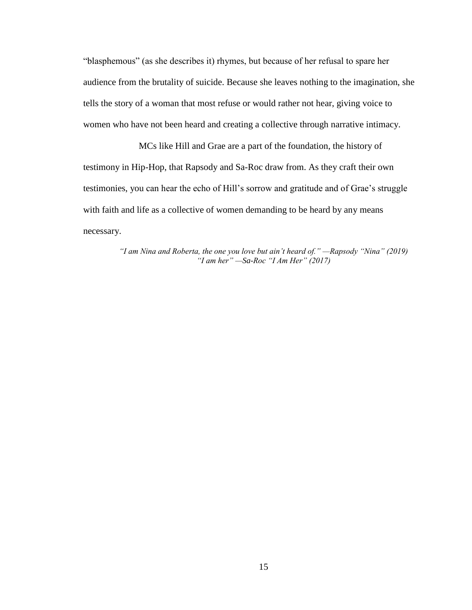"blasphemous" (as she describes it) rhymes, but because of her refusal to spare her audience from the brutality of suicide. Because she leaves nothing to the imagination, she tells the story of a woman that most refuse or would rather not hear, giving voice to women who have not been heard and creating a collective through narrative intimacy.

MCs like Hill and Grae are a part of the foundation, the history of testimony in Hip-Hop, that Rapsody and Sa-Roc draw from. As they craft their own testimonies, you can hear the echo of Hill's sorrow and gratitude and of Grae's struggle with faith and life as a collective of women demanding to be heard by any means necessary.

> *"I am Nina and Roberta, the one you love but ain't heard of." —Rapsody "Nina" (2019) "I am her" —Sa-Roc "I Am Her" (2017)*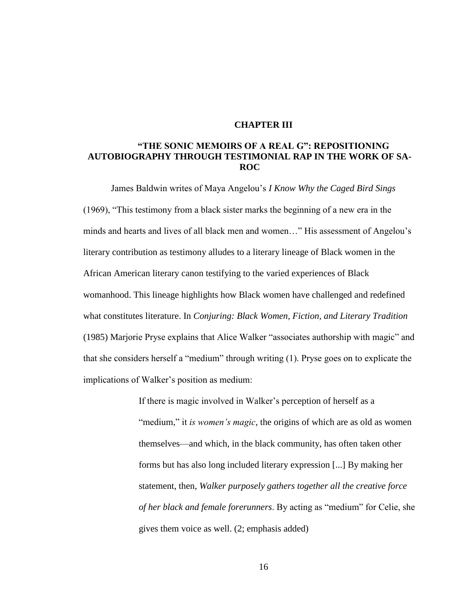#### **CHAPTER III**

#### **"THE SONIC MEMOIRS OF A REAL G": REPOSITIONING AUTOBIOGRAPHY THROUGH TESTIMONIAL RAP IN THE WORK OF SA-ROC**

James Baldwin writes of Maya Angelou's *I Know Why the Caged Bird Sings* (1969), "This testimony from a black sister marks the beginning of a new era in the minds and hearts and lives of all black men and women…" His assessment of Angelou's literary contribution as testimony alludes to a literary lineage of Black women in the African American literary canon testifying to the varied experiences of Black womanhood. This lineage highlights how Black women have challenged and redefined what constitutes literature. In *Conjuring: Black Women, Fiction, and Literary Tradition* (1985) Marjorie Pryse explains that Alice Walker "associates authorship with magic" and that she considers herself a "medium" through writing (1). Pryse goes on to explicate the implications of Walker's position as medium:

> If there is magic involved in Walker's perception of herself as a "medium," it *is women's magic*, the origins of which are as old as women themselves—and which, in the black community, has often taken other forms but has also long included literary expression [...] By making her statement, then, *Walker purposely gathers together all the creative force of her black and female forerunners*. By acting as "medium" for Celie, she gives them voice as well. (2; emphasis added)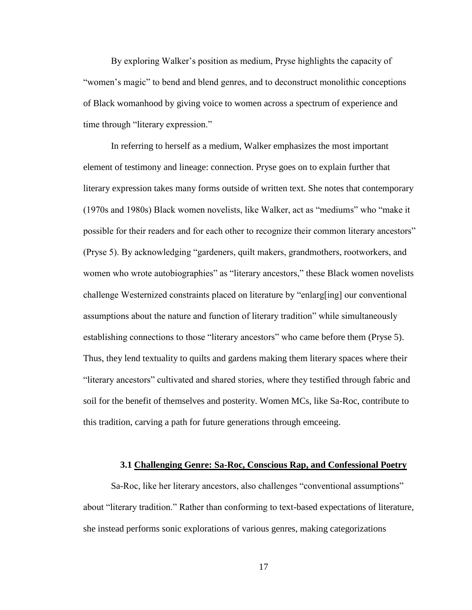By exploring Walker's position as medium, Pryse highlights the capacity of "women's magic" to bend and blend genres, and to deconstruct monolithic conceptions of Black womanhood by giving voice to women across a spectrum of experience and time through "literary expression."

In referring to herself as a medium, Walker emphasizes the most important element of testimony and lineage: connection. Pryse goes on to explain further that literary expression takes many forms outside of written text. She notes that contemporary (1970s and 1980s) Black women novelists, like Walker, act as "mediums" who "make it possible for their readers and for each other to recognize their common literary ancestors" (Pryse 5). By acknowledging "gardeners, quilt makers, grandmothers, rootworkers, and women who wrote autobiographies" as "literary ancestors," these Black women novelists challenge Westernized constraints placed on literature by "enlarg[ing] our conventional assumptions about the nature and function of literary tradition" while simultaneously establishing connections to those "literary ancestors" who came before them (Pryse 5). Thus, they lend textuality to quilts and gardens making them literary spaces where their "literary ancestors" cultivated and shared stories, where they testified through fabric and soil for the benefit of themselves and posterity. Women MCs, like Sa-Roc, contribute to this tradition, carving a path for future generations through emceeing.

#### **3.1 Challenging Genre: Sa-Roc, Conscious Rap, and Confessional Poetry**

Sa-Roc, like her literary ancestors, also challenges "conventional assumptions" about "literary tradition." Rather than conforming to text-based expectations of literature, she instead performs sonic explorations of various genres, making categorizations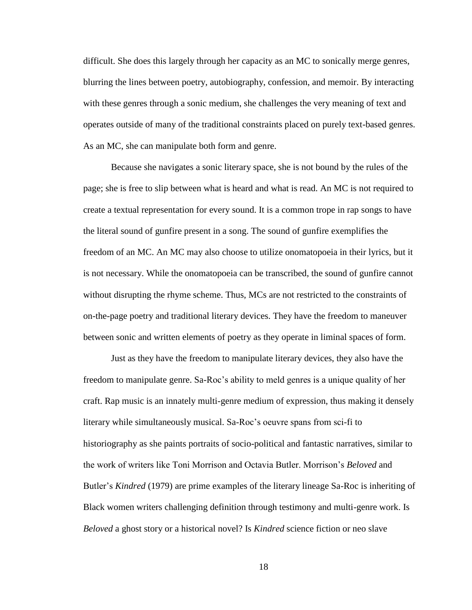difficult. She does this largely through her capacity as an MC to sonically merge genres, blurring the lines between poetry, autobiography, confession, and memoir. By interacting with these genres through a sonic medium, she challenges the very meaning of text and operates outside of many of the traditional constraints placed on purely text-based genres. As an MC, she can manipulate both form and genre.

Because she navigates a sonic literary space, she is not bound by the rules of the page; she is free to slip between what is heard and what is read. An MC is not required to create a textual representation for every sound. It is a common trope in rap songs to have the literal sound of gunfire present in a song. The sound of gunfire exemplifies the freedom of an MC. An MC may also choose to utilize onomatopoeia in their lyrics, but it is not necessary. While the onomatopoeia can be transcribed, the sound of gunfire cannot without disrupting the rhyme scheme. Thus, MCs are not restricted to the constraints of on-the-page poetry and traditional literary devices. They have the freedom to maneuver between sonic and written elements of poetry as they operate in liminal spaces of form.

Just as they have the freedom to manipulate literary devices, they also have the freedom to manipulate genre. Sa-Roc's ability to meld genres is a unique quality of her craft. Rap music is an innately multi-genre medium of expression, thus making it densely literary while simultaneously musical. Sa-Roc's oeuvre spans from sci-fi to historiography as she paints portraits of socio-political and fantastic narratives, similar to the work of writers like Toni Morrison and Octavia Butler. Morrison's *Beloved* and Butler's *Kindred* (1979) are prime examples of the literary lineage Sa-Roc is inheriting of Black women writers challenging definition through testimony and multi-genre work. Is *Beloved* a ghost story or a historical novel? Is *Kindred* science fiction or neo slave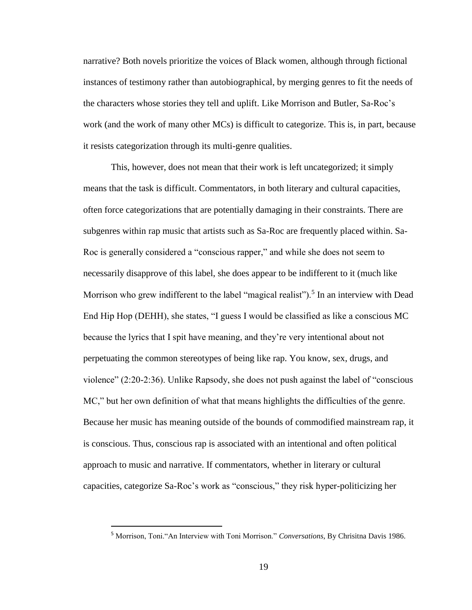narrative? Both novels prioritize the voices of Black women, although through fictional instances of testimony rather than autobiographical, by merging genres to fit the needs of the characters whose stories they tell and uplift. Like Morrison and Butler, Sa-Roc's work (and the work of many other MCs) is difficult to categorize. This is, in part, because it resists categorization through its multi-genre qualities.

This, however, does not mean that their work is left uncategorized; it simply means that the task is difficult. Commentators, in both literary and cultural capacities, often force categorizations that are potentially damaging in their constraints. There are subgenres within rap music that artists such as Sa-Roc are frequently placed within. Sa-Roc is generally considered a "conscious rapper," and while she does not seem to necessarily disapprove of this label, she does appear to be indifferent to it (much like Morrison who grew indifferent to the label "magical realist").<sup>5</sup> In an interview with Dead End Hip Hop (DEHH), she states, "I guess I would be classified as like a conscious MC because the lyrics that I spit have meaning, and they're very intentional about not perpetuating the common stereotypes of being like rap. You know, sex, drugs, and violence" (2:20-2:36). Unlike Rapsody, she does not push against the label of "conscious MC," but her own definition of what that means highlights the difficulties of the genre. Because her music has meaning outside of the bounds of commodified mainstream rap, it is conscious. Thus, conscious rap is associated with an intentional and often political approach to music and narrative. If commentators, whether in literary or cultural capacities, categorize Sa-Roc's work as "conscious," they risk hyper-politicizing her

 $\overline{\phantom{a}}$ 

<sup>5</sup> Morrison, Toni."An Interview with Toni Morrison." *Conversations*, By Chrisitna Davis 1986.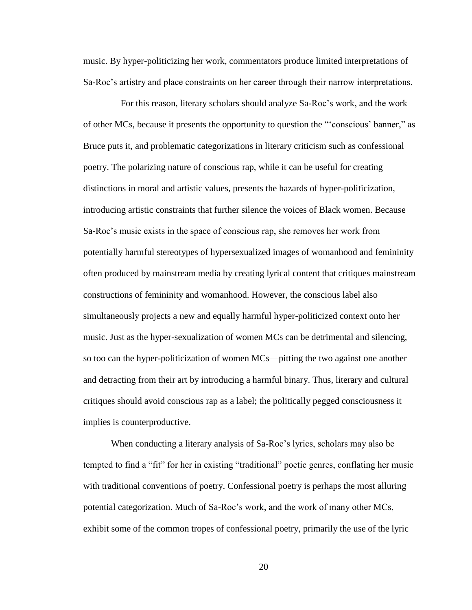music. By hyper-politicizing her work, commentators produce limited interpretations of Sa-Roc's artistry and place constraints on her career through their narrow interpretations.

 For this reason, literary scholars should analyze Sa-Roc's work, and the work of other MCs, because it presents the opportunity to question the "'conscious' banner," as Bruce puts it, and problematic categorizations in literary criticism such as confessional poetry. The polarizing nature of conscious rap, while it can be useful for creating distinctions in moral and artistic values, presents the hazards of hyper-politicization, introducing artistic constraints that further silence the voices of Black women. Because Sa-Roc's music exists in the space of conscious rap, she removes her work from potentially harmful stereotypes of hypersexualized images of womanhood and femininity often produced by mainstream media by creating lyrical content that critiques mainstream constructions of femininity and womanhood. However, the conscious label also simultaneously projects a new and equally harmful hyper-politicized context onto her music. Just as the hyper-sexualization of women MCs can be detrimental and silencing, so too can the hyper-politicization of women MCs—pitting the two against one another and detracting from their art by introducing a harmful binary. Thus, literary and cultural critiques should avoid conscious rap as a label; the politically pegged consciousness it implies is counterproductive.

When conducting a literary analysis of Sa-Roc's lyrics, scholars may also be tempted to find a "fit" for her in existing "traditional" poetic genres, conflating her music with traditional conventions of poetry. Confessional poetry is perhaps the most alluring potential categorization. Much of Sa-Roc's work, and the work of many other MCs, exhibit some of the common tropes of confessional poetry, primarily the use of the lyric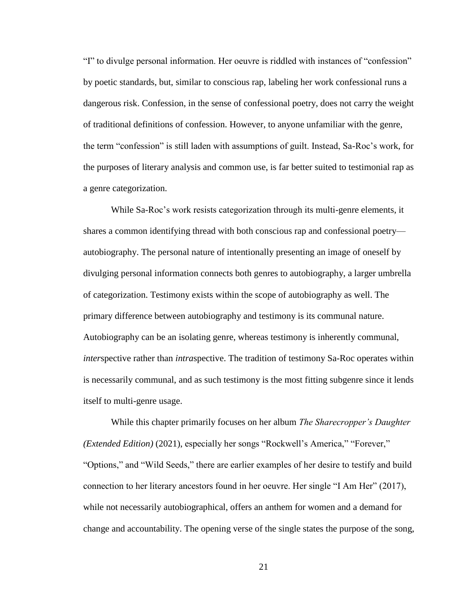"I" to divulge personal information. Her oeuvre is riddled with instances of "confession" by poetic standards, but, similar to conscious rap, labeling her work confessional runs a dangerous risk. Confession, in the sense of confessional poetry, does not carry the weight of traditional definitions of confession. However, to anyone unfamiliar with the genre, the term "confession" is still laden with assumptions of guilt. Instead, Sa-Roc's work, for the purposes of literary analysis and common use, is far better suited to testimonial rap as a genre categorization.

While Sa-Roc's work resists categorization through its multi-genre elements, it shares a common identifying thread with both conscious rap and confessional poetry autobiography. The personal nature of intentionally presenting an image of oneself by divulging personal information connects both genres to autobiography, a larger umbrella of categorization. Testimony exists within the scope of autobiography as well. The primary difference between autobiography and testimony is its communal nature. Autobiography can be an isolating genre, whereas testimony is inherently communal, *inter*spective rather than *intra*spective. The tradition of testimony Sa-Roc operates within is necessarily communal, and as such testimony is the most fitting subgenre since it lends itself to multi-genre usage.

While this chapter primarily focuses on her album *The Sharecropper's Daughter (Extended Edition)* (2021), especially her songs "Rockwell's America," "Forever," "Options," and "Wild Seeds," there are earlier examples of her desire to testify and build connection to her literary ancestors found in her oeuvre. Her single "I Am Her" (2017), while not necessarily autobiographical, offers an anthem for women and a demand for change and accountability. The opening verse of the single states the purpose of the song,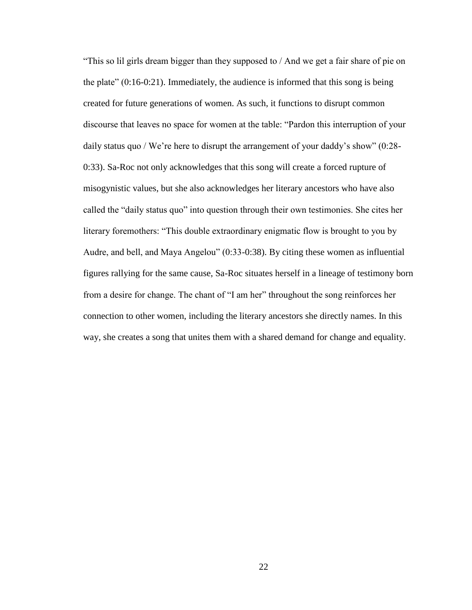"This so lil girls dream bigger than they supposed to / And we get a fair share of pie on the plate" (0:16-0:21). Immediately, the audience is informed that this song is being created for future generations of women. As such, it functions to disrupt common discourse that leaves no space for women at the table: "Pardon this interruption of your daily status quo / We're here to disrupt the arrangement of your daddy's show" (0:28- 0:33). Sa-Roc not only acknowledges that this song will create a forced rupture of misogynistic values, but she also acknowledges her literary ancestors who have also called the "daily status quo" into question through their own testimonies. She cites her literary foremothers: "This double extraordinary enigmatic flow is brought to you by Audre, and bell, and Maya Angelou" (0:33-0:38). By citing these women as influential figures rallying for the same cause, Sa-Roc situates herself in a lineage of testimony born from a desire for change. The chant of "I am her" throughout the song reinforces her connection to other women, including the literary ancestors she directly names. In this way, she creates a song that unites them with a shared demand for change and equality.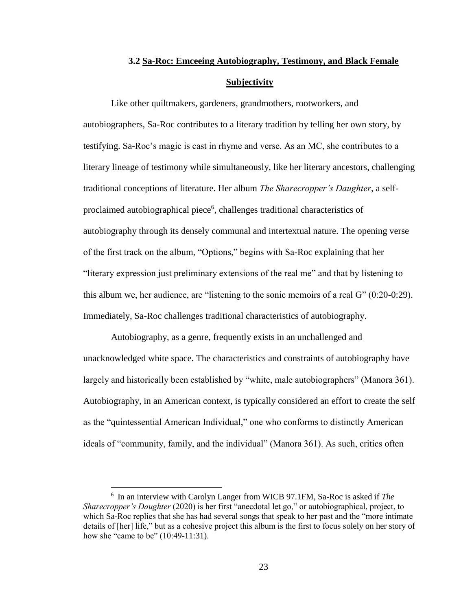## **3.2 Sa-Roc: Emceeing Autobiography, Testimony, and Black Female Subjectivity**

Like other quiltmakers, gardeners, grandmothers, rootworkers, and autobiographers, Sa-Roc contributes to a literary tradition by telling her own story, by testifying. Sa-Roc's magic is cast in rhyme and verse. As an MC, she contributes to a literary lineage of testimony while simultaneously, like her literary ancestors, challenging traditional conceptions of literature. Her album *The Sharecropper's Daughter*, a selfproclaimed autobiographical piece<sup>6</sup>, challenges traditional characteristics of autobiography through its densely communal and intertextual nature. The opening verse of the first track on the album, "Options," begins with Sa-Roc explaining that her "literary expression just preliminary extensions of the real me" and that by listening to this album we, her audience, are "listening to the sonic memoirs of a real G" (0:20-0:29). Immediately, Sa-Roc challenges traditional characteristics of autobiography.

Autobiography, as a genre, frequently exists in an unchallenged and unacknowledged white space. The characteristics and constraints of autobiography have largely and historically been established by "white, male autobiographers" (Manora 361). Autobiography, in an American context, is typically considered an effort to create the self as the "quintessential American Individual," one who conforms to distinctly American ideals of "community, family, and the individual" (Manora 361). As such, critics often

 $\overline{\phantom{a}}$ 

<sup>6</sup> In an interview with Carolyn Langer from WICB 97.1FM, Sa-Roc is asked if *The Sharecropper's Daughter* (2020) is her first "anecdotal let go," or autobiographical, project, to which Sa-Roc replies that she has had several songs that speak to her past and the "more intimate details of [her] life," but as a cohesive project this album is the first to focus solely on her story of how she "came to be" (10:49-11:31).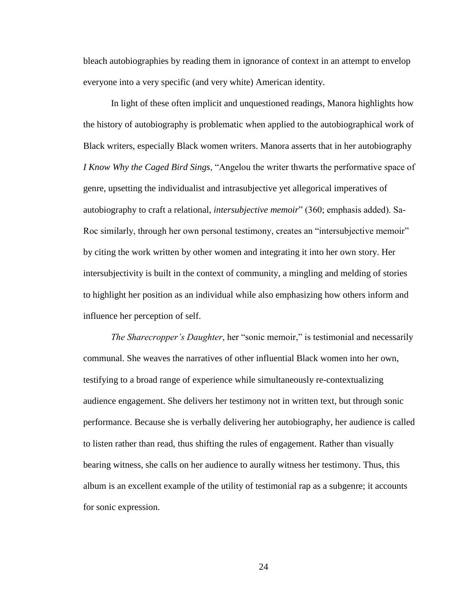bleach autobiographies by reading them in ignorance of context in an attempt to envelop everyone into a very specific (and very white) American identity.

In light of these often implicit and unquestioned readings, Manora highlights how the history of autobiography is problematic when applied to the autobiographical work of Black writers, especially Black women writers. Manora asserts that in her autobiography *I Know Why the Caged Bird Sings*, "Angelou the writer thwarts the performative space of genre, upsetting the individualist and intrasubjective yet allegorical imperatives of autobiography to craft a relational, *intersubjective memoir*" (360; emphasis added). Sa-Roc similarly, through her own personal testimony, creates an "intersubjective memoir" by citing the work written by other women and integrating it into her own story. Her intersubjectivity is built in the context of community, a mingling and melding of stories to highlight her position as an individual while also emphasizing how others inform and influence her perception of self.

*The Sharecropper's Daughter*, her "sonic memoir," is testimonial and necessarily communal. She weaves the narratives of other influential Black women into her own, testifying to a broad range of experience while simultaneously re-contextualizing audience engagement. She delivers her testimony not in written text, but through sonic performance. Because she is verbally delivering her autobiography, her audience is called to listen rather than read, thus shifting the rules of engagement. Rather than visually bearing witness, she calls on her audience to aurally witness her testimony. Thus, this album is an excellent example of the utility of testimonial rap as a subgenre; it accounts for sonic expression.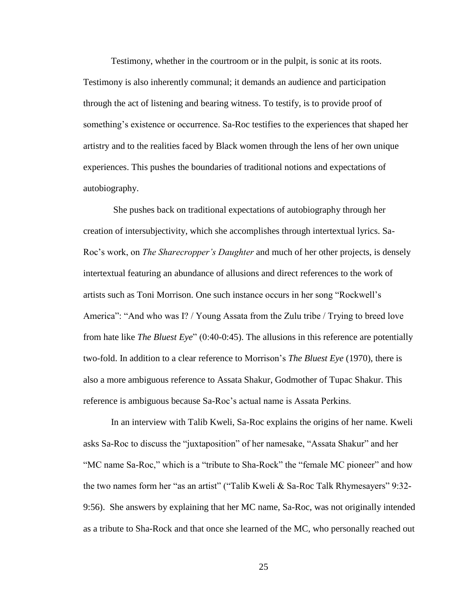Testimony, whether in the courtroom or in the pulpit, is sonic at its roots. Testimony is also inherently communal; it demands an audience and participation through the act of listening and bearing witness. To testify, is to provide proof of something's existence or occurrence. Sa-Roc testifies to the experiences that shaped her artistry and to the realities faced by Black women through the lens of her own unique experiences. This pushes the boundaries of traditional notions and expectations of autobiography.

She pushes back on traditional expectations of autobiography through her creation of intersubjectivity, which she accomplishes through intertextual lyrics. Sa-Roc's work, on *The Sharecropper's Daughter* and much of her other projects, is densely intertextual featuring an abundance of allusions and direct references to the work of artists such as Toni Morrison. One such instance occurs in her song "Rockwell's America": "And who was I? / Young Assata from the Zulu tribe / Trying to breed love from hate like *The Bluest Eye*" (0:40-0:45). The allusions in this reference are potentially two-fold. In addition to a clear reference to Morrison's *The Bluest Eye* (1970), there is also a more ambiguous reference to Assata Shakur, Godmother of Tupac Shakur. This reference is ambiguous because Sa-Roc's actual name is Assata Perkins.

In an interview with Talib Kweli, Sa-Roc explains the origins of her name. Kweli asks Sa-Roc to discuss the "juxtaposition" of her namesake, "Assata Shakur" and her "MC name Sa-Roc," which is a "tribute to Sha-Rock" the "female MC pioneer" and how the two names form her "as an artist" ("Talib Kweli & Sa-Roc Talk Rhymesayers" 9:32- 9:56). She answers by explaining that her MC name, Sa-Roc, was not originally intended as a tribute to Sha-Rock and that once she learned of the MC, who personally reached out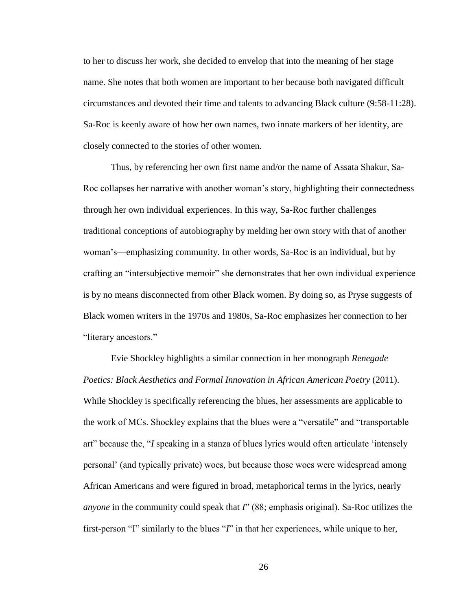to her to discuss her work, she decided to envelop that into the meaning of her stage name. She notes that both women are important to her because both navigated difficult circumstances and devoted their time and talents to advancing Black culture (9:58-11:28). Sa-Roc is keenly aware of how her own names, two innate markers of her identity, are closely connected to the stories of other women.

Thus, by referencing her own first name and/or the name of Assata Shakur, Sa-Roc collapses her narrative with another woman's story, highlighting their connectedness through her own individual experiences. In this way, Sa-Roc further challenges traditional conceptions of autobiography by melding her own story with that of another woman's—emphasizing community. In other words, Sa-Roc is an individual, but by crafting an "intersubjective memoir" she demonstrates that her own individual experience is by no means disconnected from other Black women. By doing so, as Pryse suggests of Black women writers in the 1970s and 1980s, Sa-Roc emphasizes her connection to her "literary ancestors."

Evie Shockley highlights a similar connection in her monograph *Renegade Poetics: Black Aesthetics and Formal Innovation in African American Poetry* (2011). While Shockley is specifically referencing the blues, her assessments are applicable to the work of MCs. Shockley explains that the blues were a "versatile" and "transportable art" because the, "*I* speaking in a stanza of blues lyrics would often articulate 'intensely personal' (and typically private) woes, but because those woes were widespread among African Americans and were figured in broad, metaphorical terms in the lyrics, nearly *anyone* in the community could speak that *I*" (88; emphasis original). Sa-Roc utilizes the first-person "I" similarly to the blues "*I*" in that her experiences, while unique to her,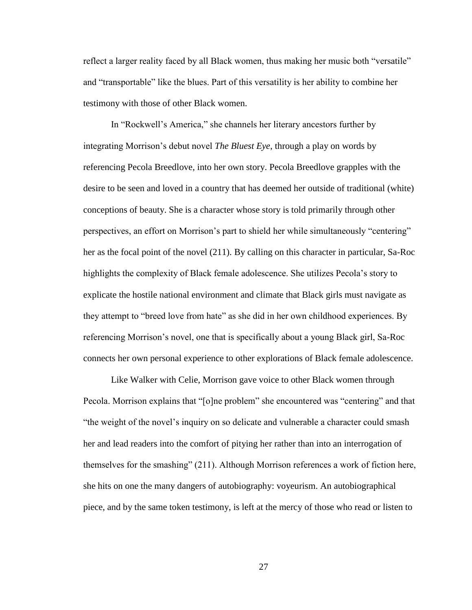reflect a larger reality faced by all Black women, thus making her music both "versatile" and "transportable" like the blues. Part of this versatility is her ability to combine her testimony with those of other Black women.

In "Rockwell's America," she channels her literary ancestors further by integrating Morrison's debut novel *The Bluest Eye*, through a play on words by referencing Pecola Breedlove, into her own story. Pecola Breedlove grapples with the desire to be seen and loved in a country that has deemed her outside of traditional (white) conceptions of beauty. She is a character whose story is told primarily through other perspectives, an effort on Morrison's part to shield her while simultaneously "centering" her as the focal point of the novel (211). By calling on this character in particular, Sa-Roc highlights the complexity of Black female adolescence. She utilizes Pecola's story to explicate the hostile national environment and climate that Black girls must navigate as they attempt to "breed love from hate" as she did in her own childhood experiences. By referencing Morrison's novel, one that is specifically about a young Black girl, Sa-Roc connects her own personal experience to other explorations of Black female adolescence.

Like Walker with Celie, Morrison gave voice to other Black women through Pecola. Morrison explains that "[o]ne problem" she encountered was "centering" and that "the weight of the novel's inquiry on so delicate and vulnerable a character could smash her and lead readers into the comfort of pitying her rather than into an interrogation of themselves for the smashing" (211). Although Morrison references a work of fiction here, she hits on one the many dangers of autobiography: voyeurism. An autobiographical piece, and by the same token testimony, is left at the mercy of those who read or listen to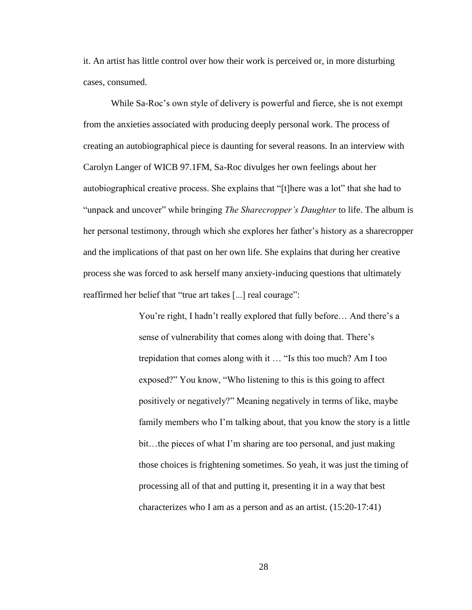it. An artist has little control over how their work is perceived or, in more disturbing cases, consumed.

While Sa-Roc's own style of delivery is powerful and fierce, she is not exempt from the anxieties associated with producing deeply personal work. The process of creating an autobiographical piece is daunting for several reasons. In an interview with Carolyn Langer of WICB 97.1FM, Sa-Roc divulges her own feelings about her autobiographical creative process. She explains that "[t]here was a lot" that she had to "unpack and uncover" while bringing *The Sharecropper's Daughter* to life. The album is her personal testimony, through which she explores her father's history as a sharecropper and the implications of that past on her own life. She explains that during her creative process she was forced to ask herself many anxiety-inducing questions that ultimately reaffirmed her belief that "true art takes [...] real courage":

> You're right, I hadn't really explored that fully before… And there's a sense of vulnerability that comes along with doing that. There's trepidation that comes along with it … "Is this too much? Am I too exposed?" You know, "Who listening to this is this going to affect positively or negatively?" Meaning negatively in terms of like, maybe family members who I'm talking about, that you know the story is a little bit…the pieces of what I'm sharing are too personal, and just making those choices is frightening sometimes. So yeah, it was just the timing of processing all of that and putting it, presenting it in a way that best characterizes who I am as a person and as an artist. (15:20-17:41)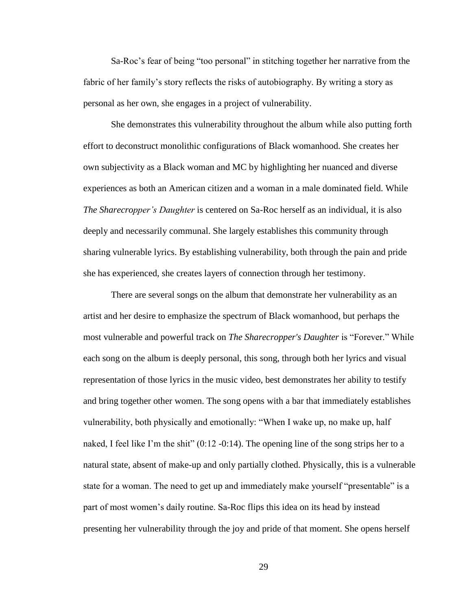Sa-Roc's fear of being "too personal" in stitching together her narrative from the fabric of her family's story reflects the risks of autobiography. By writing a story as personal as her own, she engages in a project of vulnerability.

She demonstrates this vulnerability throughout the album while also putting forth effort to deconstruct monolithic configurations of Black womanhood. She creates her own subjectivity as a Black woman and MC by highlighting her nuanced and diverse experiences as both an American citizen and a woman in a male dominated field. While *The Sharecropper's Daughter* is centered on Sa-Roc herself as an individual, it is also deeply and necessarily communal. She largely establishes this community through sharing vulnerable lyrics. By establishing vulnerability, both through the pain and pride she has experienced, she creates layers of connection through her testimony.

There are several songs on the album that demonstrate her vulnerability as an artist and her desire to emphasize the spectrum of Black womanhood, but perhaps the most vulnerable and powerful track on *The Sharecropper's Daughter* is "Forever." While each song on the album is deeply personal, this song, through both her lyrics and visual representation of those lyrics in the music video, best demonstrates her ability to testify and bring together other women. The song opens with a bar that immediately establishes vulnerability, both physically and emotionally: "When I wake up, no make up, half naked, I feel like I'm the shit" (0:12 -0:14). The opening line of the song strips her to a natural state, absent of make-up and only partially clothed. Physically, this is a vulnerable state for a woman. The need to get up and immediately make yourself "presentable" is a part of most women's daily routine. Sa-Roc flips this idea on its head by instead presenting her vulnerability through the joy and pride of that moment. She opens herself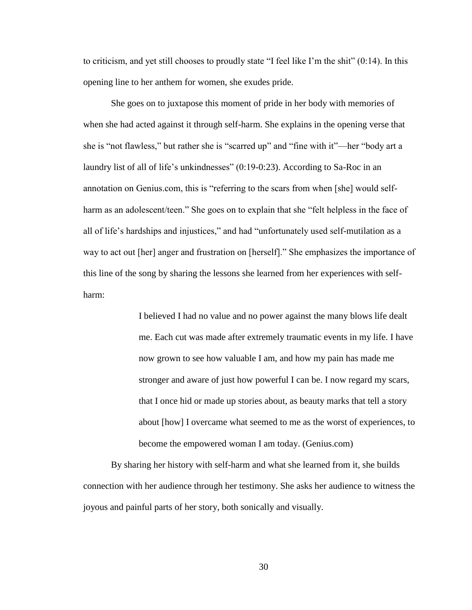to criticism, and yet still chooses to proudly state "I feel like I'm the shit" (0:14). In this opening line to her anthem for women, she exudes pride.

She goes on to juxtapose this moment of pride in her body with memories of when she had acted against it through self-harm. She explains in the opening verse that she is "not flawless," but rather she is "scarred up" and "fine with it"—her "body art a laundry list of all of life's unkindnesses" (0:19-0:23). According to Sa-Roc in an annotation on Genius.com, this is "referring to the scars from when [she] would selfharm as an adolescent/teen." She goes on to explain that she "felt helpless in the face of all of life's hardships and injustices," and had "unfortunately used self-mutilation as a way to act out [her] anger and frustration on [herself]." She emphasizes the importance of this line of the song by sharing the lessons she learned from her experiences with selfharm:

> I believed I had no value and no power against the many blows life dealt me. Each cut was made after extremely traumatic events in my life. I have now grown to see how valuable I am, and how my pain has made me stronger and aware of just how powerful I can be. I now regard my scars, that I once hid or made up stories about, as beauty marks that tell a story about [how] I overcame what seemed to me as the worst of experiences, to become the empowered woman I am today. (Genius.com)

By sharing her history with self-harm and what she learned from it, she builds connection with her audience through her testimony. She asks her audience to witness the joyous and painful parts of her story, both sonically and visually.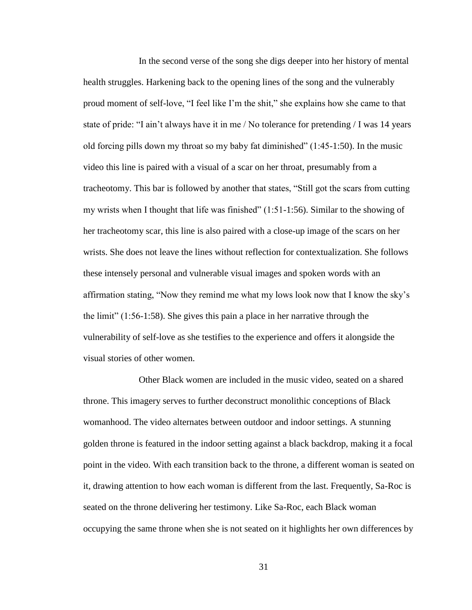In the second verse of the song she digs deeper into her history of mental health struggles. Harkening back to the opening lines of the song and the vulnerably proud moment of self-love, "I feel like I'm the shit," she explains how she came to that state of pride: "I ain't always have it in me / No tolerance for pretending / I was 14 years old forcing pills down my throat so my baby fat diminished" (1:45-1:50). In the music video this line is paired with a visual of a scar on her throat, presumably from a tracheotomy. This bar is followed by another that states, "Still got the scars from cutting my wrists when I thought that life was finished" (1:51-1:56). Similar to the showing of her tracheotomy scar, this line is also paired with a close-up image of the scars on her wrists. She does not leave the lines without reflection for contextualization. She follows these intensely personal and vulnerable visual images and spoken words with an affirmation stating, "Now they remind me what my lows look now that I know the sky's the limit" (1:56-1:58). She gives this pain a place in her narrative through the vulnerability of self-love as she testifies to the experience and offers it alongside the visual stories of other women.

Other Black women are included in the music video, seated on a shared throne. This imagery serves to further deconstruct monolithic conceptions of Black womanhood. The video alternates between outdoor and indoor settings. A stunning golden throne is featured in the indoor setting against a black backdrop, making it a focal point in the video. With each transition back to the throne, a different woman is seated on it, drawing attention to how each woman is different from the last. Frequently, Sa-Roc is seated on the throne delivering her testimony. Like Sa-Roc, each Black woman occupying the same throne when she is not seated on it highlights her own differences by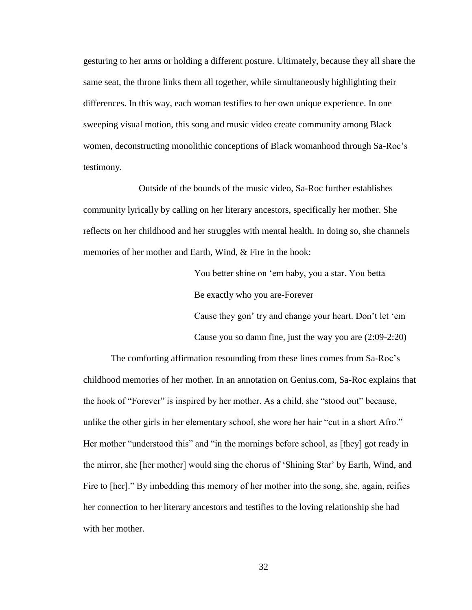gesturing to her arms or holding a different posture. Ultimately, because they all share the same seat, the throne links them all together, while simultaneously highlighting their differences. In this way, each woman testifies to her own unique experience. In one sweeping visual motion, this song and music video create community among Black women, deconstructing monolithic conceptions of Black womanhood through Sa-Roc's testimony.

Outside of the bounds of the music video, Sa-Roc further establishes community lyrically by calling on her literary ancestors, specifically her mother. She reflects on her childhood and her struggles with mental health. In doing so, she channels memories of her mother and Earth, Wind, & Fire in the hook:

> You better shine on 'em baby, you a star. You betta Be exactly who you are-Forever Cause they gon' try and change your heart. Don't let 'em

> Cause you so damn fine, just the way you are (2:09-2:20)

The comforting affirmation resounding from these lines comes from Sa-Roc's childhood memories of her mother. In an annotation on Genius.com, Sa-Roc explains that the hook of "Forever" is inspired by her mother. As a child, she "stood out" because, unlike the other girls in her elementary school, she wore her hair "cut in a short Afro." Her mother "understood this" and "in the mornings before school, as [they] got ready in the mirror, she [her mother] would sing the chorus of 'Shining Star' by Earth, Wind, and Fire to [her]." By imbedding this memory of her mother into the song, she, again, reifies her connection to her literary ancestors and testifies to the loving relationship she had with her mother.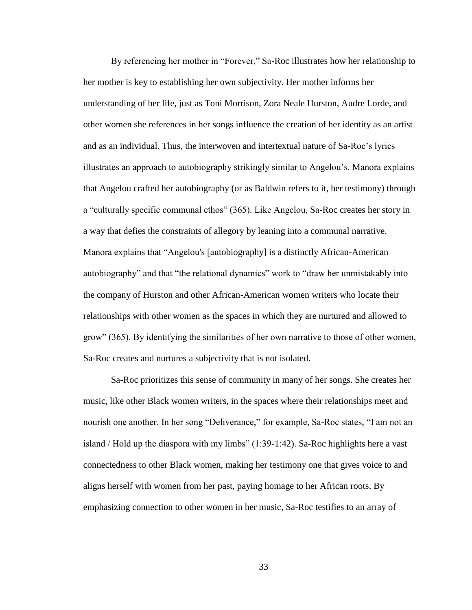By referencing her mother in "Forever," Sa-Roc illustrates how her relationship to her mother is key to establishing her own subjectivity. Her mother informs her understanding of her life, just as Toni Morrison, Zora Neale Hurston, Audre Lorde, and other women she references in her songs influence the creation of her identity as an artist and as an individual. Thus, the interwoven and intertextual nature of Sa-Roc's lyrics illustrates an approach to autobiography strikingly similar to Angelou's. Manora explains that Angelou crafted her autobiography (or as Baldwin refers to it, her testimony) through a "culturally specific communal ethos" (365). Like Angelou, Sa-Roc creates her story in a way that defies the constraints of allegory by leaning into a communal narrative. Manora explains that "Angelou's [autobiography] is a distinctly African-American autobiography" and that "the relational dynamics" work to "draw her unmistakably into the company of Hurston and other African-American women writers who locate their relationships with other women as the spaces in which they are nurtured and allowed to grow" (365). By identifying the similarities of her own narrative to those of other women, Sa-Roc creates and nurtures a subjectivity that is not isolated.

Sa-Roc prioritizes this sense of community in many of her songs. She creates her music, like other Black women writers, in the spaces where their relationships meet and nourish one another. In her song "Deliverance," for example, Sa-Roc states, "I am not an island / Hold up the diaspora with my limbs" (1:39-1:42). Sa-Roc highlights here a vast connectedness to other Black women, making her testimony one that gives voice to and aligns herself with women from her past, paying homage to her African roots. By emphasizing connection to other women in her music, Sa-Roc testifies to an array of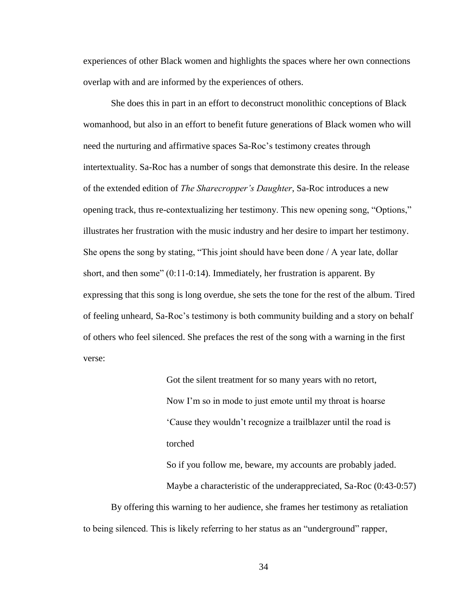experiences of other Black women and highlights the spaces where her own connections overlap with and are informed by the experiences of others.

She does this in part in an effort to deconstruct monolithic conceptions of Black womanhood, but also in an effort to benefit future generations of Black women who will need the nurturing and affirmative spaces Sa-Roc's testimony creates through intertextuality. Sa-Roc has a number of songs that demonstrate this desire. In the release of the extended edition of *The Sharecropper's Daughter*, Sa-Roc introduces a new opening track, thus re-contextualizing her testimony. This new opening song, "Options," illustrates her frustration with the music industry and her desire to impart her testimony. She opens the song by stating, "This joint should have been done  $/$  A year late, dollar short, and then some" (0:11-0:14). Immediately, her frustration is apparent. By expressing that this song is long overdue, she sets the tone for the rest of the album. Tired of feeling unheard, Sa-Roc's testimony is both community building and a story on behalf of others who feel silenced. She prefaces the rest of the song with a warning in the first verse:

> Got the silent treatment for so many years with no retort, Now I'm so in mode to just emote until my throat is hoarse 'Cause they wouldn't recognize a trailblazer until the road is torched

So if you follow me, beware, my accounts are probably jaded.

Maybe a characteristic of the underappreciated, Sa-Roc (0:43-0:57)

By offering this warning to her audience, she frames her testimony as retaliation to being silenced. This is likely referring to her status as an "underground" rapper,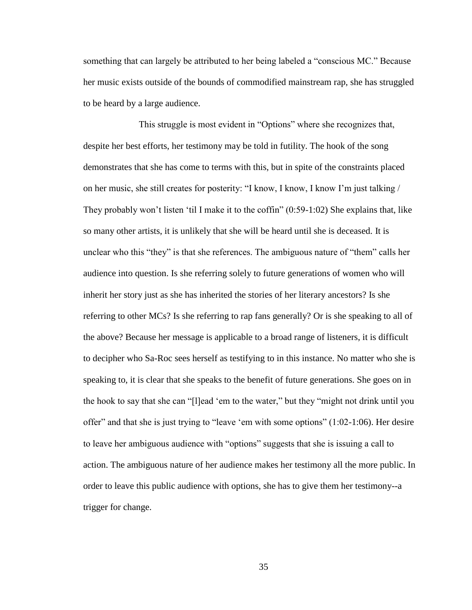something that can largely be attributed to her being labeled a "conscious MC." Because her music exists outside of the bounds of commodified mainstream rap, she has struggled to be heard by a large audience.

This struggle is most evident in "Options" where she recognizes that, despite her best efforts, her testimony may be told in futility. The hook of the song demonstrates that she has come to terms with this, but in spite of the constraints placed on her music, she still creates for posterity: "I know, I know, I know I'm just talking / They probably won't listen 'til I make it to the coffin" (0:59-1:02) She explains that, like so many other artists, it is unlikely that she will be heard until she is deceased. It is unclear who this "they" is that she references. The ambiguous nature of "them" calls her audience into question. Is she referring solely to future generations of women who will inherit her story just as she has inherited the stories of her literary ancestors? Is she referring to other MCs? Is she referring to rap fans generally? Or is she speaking to all of the above? Because her message is applicable to a broad range of listeners, it is difficult to decipher who Sa-Roc sees herself as testifying to in this instance. No matter who she is speaking to, it is clear that she speaks to the benefit of future generations. She goes on in the hook to say that she can "[l]ead 'em to the water," but they "might not drink until you offer" and that she is just trying to "leave 'em with some options" (1:02-1:06). Her desire to leave her ambiguous audience with "options" suggests that she is issuing a call to action. The ambiguous nature of her audience makes her testimony all the more public. In order to leave this public audience with options, she has to give them her testimony--a trigger for change.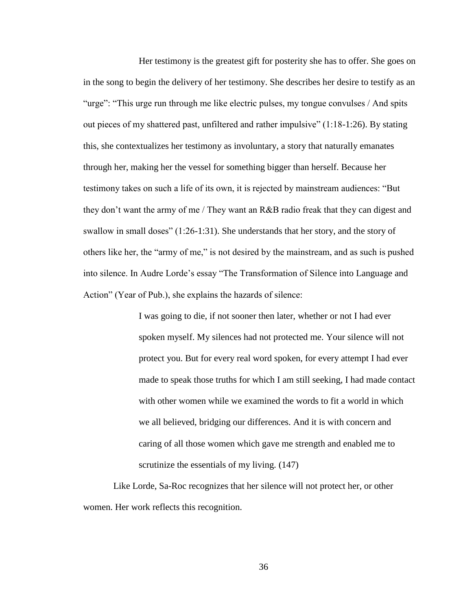Her testimony is the greatest gift for posterity she has to offer. She goes on in the song to begin the delivery of her testimony. She describes her desire to testify as an "urge": "This urge run through me like electric pulses, my tongue convulses / And spits out pieces of my shattered past, unfiltered and rather impulsive" (1:18-1:26). By stating this, she contextualizes her testimony as involuntary, a story that naturally emanates through her, making her the vessel for something bigger than herself. Because her testimony takes on such a life of its own, it is rejected by mainstream audiences: "But they don't want the army of me / They want an R&B radio freak that they can digest and swallow in small doses" (1:26-1:31). She understands that her story, and the story of others like her, the "army of me," is not desired by the mainstream, and as such is pushed into silence. In Audre Lorde's essay "The Transformation of Silence into Language and Action" (Year of Pub.), she explains the hazards of silence:

> I was going to die, if not sooner then later, whether or not I had ever spoken myself. My silences had not protected me. Your silence will not protect you. But for every real word spoken, for every attempt I had ever made to speak those truths for which I am still seeking, I had made contact with other women while we examined the words to fit a world in which we all believed, bridging our differences. And it is with concern and caring of all those women which gave me strength and enabled me to scrutinize the essentials of my living. (147)

Like Lorde, Sa-Roc recognizes that her silence will not protect her, or other women. Her work reflects this recognition.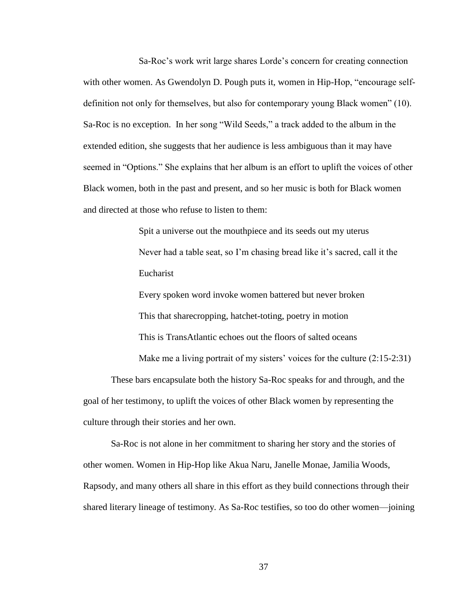Sa-Roc's work writ large shares Lorde's concern for creating connection with other women. As Gwendolyn D. Pough puts it, women in Hip-Hop, "encourage selfdefinition not only for themselves, but also for contemporary young Black women" (10). Sa-Roc is no exception. In her song "Wild Seeds," a track added to the album in the extended edition, she suggests that her audience is less ambiguous than it may have seemed in "Options." She explains that her album is an effort to uplift the voices of other Black women, both in the past and present, and so her music is both for Black women and directed at those who refuse to listen to them:

> Spit a universe out the mouthpiece and its seeds out my uterus Never had a table seat, so I'm chasing bread like it's sacred, call it the Eucharist

Every spoken word invoke women battered but never broken This that sharecropping, hatchet-toting, poetry in motion

This is TransAtlantic echoes out the floors of salted oceans

Make me a living portrait of my sisters' voices for the culture  $(2.15-2.31)$ 

These bars encapsulate both the history Sa-Roc speaks for and through, and the goal of her testimony, to uplift the voices of other Black women by representing the culture through their stories and her own.

Sa-Roc is not alone in her commitment to sharing her story and the stories of other women. Women in Hip-Hop like Akua Naru, Janelle Monae, Jamilia Woods, Rapsody, and many others all share in this effort as they build connections through their shared literary lineage of testimony. As Sa-Roc testifies, so too do other women—joining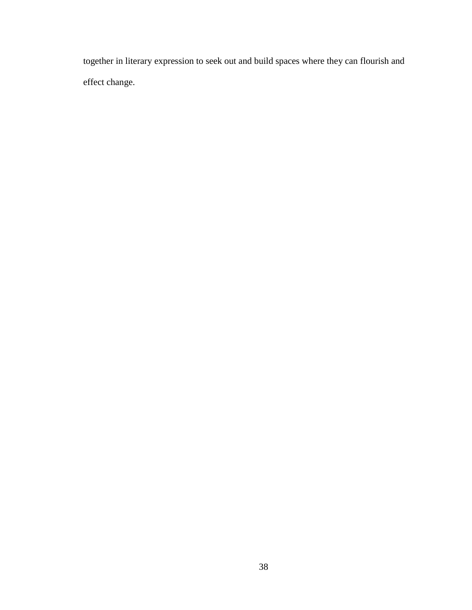together in literary expression to seek out and build spaces where they can flourish and effect change.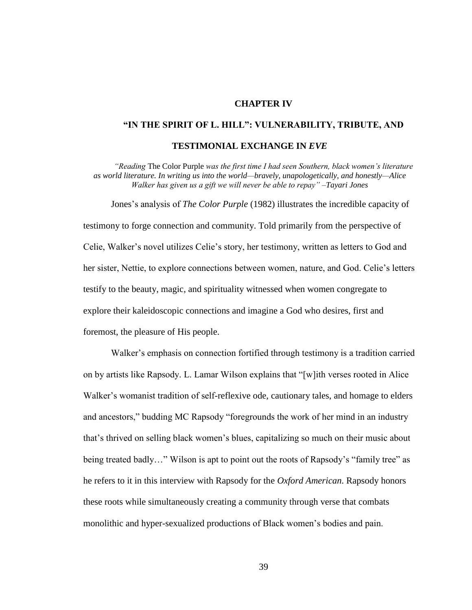### **CHAPTER IV**

# **"IN THE SPIRIT OF L. HILL": VULNERABILITY, TRIBUTE, AND**

## **TESTIMONIAL EXCHANGE IN** *EVE*

*"Reading* The Color Purple *was the first time I had seen Southern, black women's literature as world literature. In writing us into the world—bravely, unapologetically, and honestly—Alice Walker has given us a gift we will never be able to repay" –Tayari Jones*

Jones's analysis of *The Color Purple* (1982) illustrates the incredible capacity of testimony to forge connection and community. Told primarily from the perspective of Celie, Walker's novel utilizes Celie's story, her testimony, written as letters to God and her sister, Nettie, to explore connections between women, nature, and God. Celie's letters testify to the beauty, magic, and spirituality witnessed when women congregate to explore their kaleidoscopic connections and imagine a God who desires, first and foremost, the pleasure of His people.

Walker's emphasis on connection fortified through testimony is a tradition carried on by artists like Rapsody. L. Lamar Wilson explains that "[w]ith verses rooted in Alice Walker's womanist tradition of self-reflexive ode, cautionary tales, and homage to elders and ancestors," budding MC Rapsody "foregrounds the work of her mind in an industry that's thrived on selling black women's blues, capitalizing so much on their music about being treated badly…" Wilson is apt to point out the roots of Rapsody's "family tree" as he refers to it in this interview with Rapsody for the *Oxford American*. Rapsody honors these roots while simultaneously creating a community through verse that combats monolithic and hyper-sexualized productions of Black women's bodies and pain.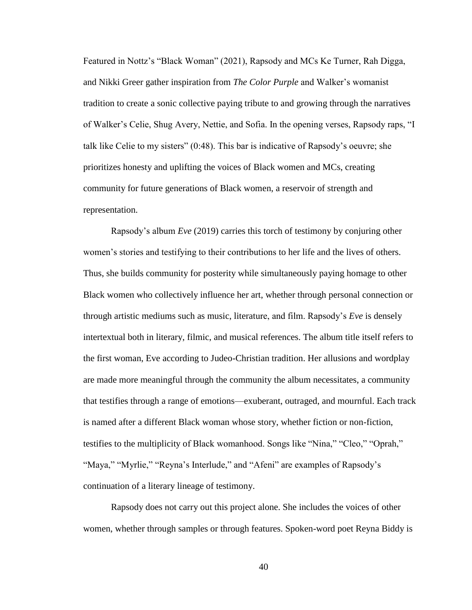Featured in Nottz's "Black Woman" (2021), Rapsody and MCs Ke Turner, Rah Digga, and Nikki Greer gather inspiration from *The Color Purple* and Walker's womanist tradition to create a sonic collective paying tribute to and growing through the narratives of Walker's Celie, Shug Avery, Nettie, and Sofia. In the opening verses, Rapsody raps, "I talk like Celie to my sisters" (0:48). This bar is indicative of Rapsody's oeuvre; she prioritizes honesty and uplifting the voices of Black women and MCs, creating community for future generations of Black women, a reservoir of strength and representation.

Rapsody's album *Eve* (2019) carries this torch of testimony by conjuring other women's stories and testifying to their contributions to her life and the lives of others. Thus, she builds community for posterity while simultaneously paying homage to other Black women who collectively influence her art, whether through personal connection or through artistic mediums such as music, literature, and film. Rapsody's *Eve* is densely intertextual both in literary, filmic, and musical references. The album title itself refers to the first woman, Eve according to Judeo-Christian tradition. Her allusions and wordplay are made more meaningful through the community the album necessitates, a community that testifies through a range of emotions—exuberant, outraged, and mournful. Each track is named after a different Black woman whose story, whether fiction or non-fiction, testifies to the multiplicity of Black womanhood. Songs like "Nina," "Cleo," "Oprah," "Maya," "Myrlie," "Reyna's Interlude," and "Afeni" are examples of Rapsody's continuation of a literary lineage of testimony.

Rapsody does not carry out this project alone. She includes the voices of other women, whether through samples or through features. Spoken-word poet Reyna Biddy is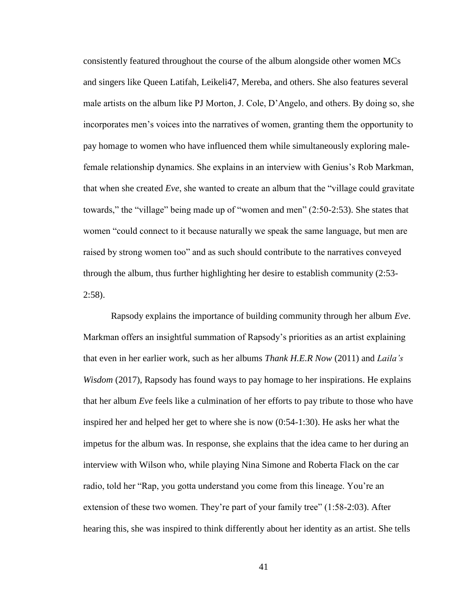consistently featured throughout the course of the album alongside other women MCs and singers like Queen Latifah, Leikeli47, Mereba, and others. She also features several male artists on the album like PJ Morton, J. Cole, D'Angelo, and others. By doing so, she incorporates men's voices into the narratives of women, granting them the opportunity to pay homage to women who have influenced them while simultaneously exploring malefemale relationship dynamics. She explains in an interview with Genius's Rob Markman, that when she created *Eve*, she wanted to create an album that the "village could gravitate towards," the "village" being made up of "women and men" (2:50-2:53). She states that women "could connect to it because naturally we speak the same language, but men are raised by strong women too" and as such should contribute to the narratives conveyed through the album, thus further highlighting her desire to establish community (2:53-  $2:58$ ).

Rapsody explains the importance of building community through her album *Eve*. Markman offers an insightful summation of Rapsody's priorities as an artist explaining that even in her earlier work, such as her albums *Thank H.E.R Now* (2011) and *Laila's Wisdom* (2017), Rapsody has found ways to pay homage to her inspirations. He explains that her album *Eve* feels like a culmination of her efforts to pay tribute to those who have inspired her and helped her get to where she is now (0:54-1:30). He asks her what the impetus for the album was. In response, she explains that the idea came to her during an interview with Wilson who, while playing Nina Simone and Roberta Flack on the car radio, told her "Rap, you gotta understand you come from this lineage. You're an extension of these two women. They're part of your family tree" (1:58-2:03). After hearing this, she was inspired to think differently about her identity as an artist. She tells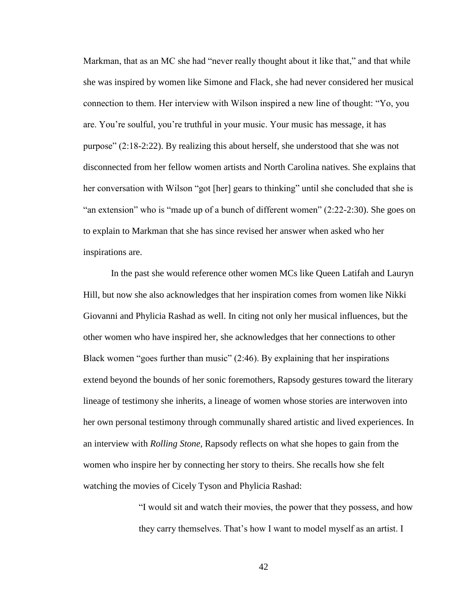Markman, that as an MC she had "never really thought about it like that," and that while she was inspired by women like Simone and Flack, she had never considered her musical connection to them. Her interview with Wilson inspired a new line of thought: "Yo, you are. You're soulful, you're truthful in your music. Your music has message, it has purpose" (2:18-2:22). By realizing this about herself, she understood that she was not disconnected from her fellow women artists and North Carolina natives. She explains that her conversation with Wilson "got [her] gears to thinking" until she concluded that she is "an extension" who is "made up of a bunch of different women" (2:22-2:30). She goes on to explain to Markman that she has since revised her answer when asked who her inspirations are.

In the past she would reference other women MCs like Queen Latifah and Lauryn Hill, but now she also acknowledges that her inspiration comes from women like Nikki Giovanni and Phylicia Rashad as well. In citing not only her musical influences, but the other women who have inspired her, she acknowledges that her connections to other Black women "goes further than music" (2:46). By explaining that her inspirations extend beyond the bounds of her sonic foremothers, Rapsody gestures toward the literary lineage of testimony she inherits, a lineage of women whose stories are interwoven into her own personal testimony through communally shared artistic and lived experiences. In an interview with *Rolling Stone*, Rapsody reflects on what she hopes to gain from the women who inspire her by connecting her story to theirs. She recalls how she felt watching the movies of Cicely Tyson and Phylicia Rashad:

> "I would sit and watch their movies, the power that they possess, and how they carry themselves. That's how I want to model myself as an artist. I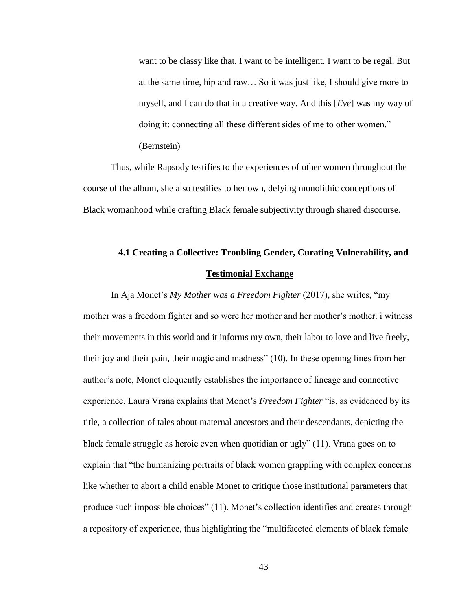want to be classy like that. I want to be intelligent. I want to be regal. But at the same time, hip and raw… So it was just like, I should give more to myself, and I can do that in a creative way. And this [*Eve*] was my way of doing it: connecting all these different sides of me to other women." (Bernstein)

Thus, while Rapsody testifies to the experiences of other women throughout the course of the album, she also testifies to her own, defying monolithic conceptions of Black womanhood while crafting Black female subjectivity through shared discourse.

# **4.1 Creating a Collective: Troubling Gender, Curating Vulnerability, and Testimonial Exchange**

In Aja Monet's *My Mother was a Freedom Fighter* (2017), she writes, "my mother was a freedom fighter and so were her mother and her mother's mother. i witness their movements in this world and it informs my own, their labor to love and live freely, their joy and their pain, their magic and madness" (10). In these opening lines from her author's note, Monet eloquently establishes the importance of lineage and connective experience. Laura Vrana explains that Monet's *Freedom Fighter* "is, as evidenced by its title, a collection of tales about maternal ancestors and their descendants, depicting the black female struggle as heroic even when quotidian or ugly" (11). Vrana goes on to explain that "the humanizing portraits of black women grappling with complex concerns like whether to abort a child enable Monet to critique those institutional parameters that produce such impossible choices" (11). Monet's collection identifies and creates through a repository of experience, thus highlighting the "multifaceted elements of black female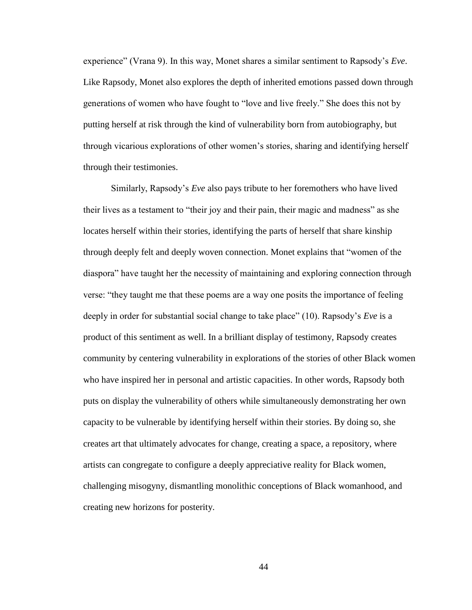experience" (Vrana 9). In this way, Monet shares a similar sentiment to Rapsody's *Eve*. Like Rapsody, Monet also explores the depth of inherited emotions passed down through generations of women who have fought to "love and live freely." She does this not by putting herself at risk through the kind of vulnerability born from autobiography, but through vicarious explorations of other women's stories, sharing and identifying herself through their testimonies.

Similarly, Rapsody's *Eve* also pays tribute to her foremothers who have lived their lives as a testament to "their joy and their pain, their magic and madness" as she locates herself within their stories, identifying the parts of herself that share kinship through deeply felt and deeply woven connection. Monet explains that "women of the diaspora" have taught her the necessity of maintaining and exploring connection through verse: "they taught me that these poems are a way one posits the importance of feeling deeply in order for substantial social change to take place" (10). Rapsody's *Eve* is a product of this sentiment as well. In a brilliant display of testimony, Rapsody creates community by centering vulnerability in explorations of the stories of other Black women who have inspired her in personal and artistic capacities. In other words, Rapsody both puts on display the vulnerability of others while simultaneously demonstrating her own capacity to be vulnerable by identifying herself within their stories. By doing so, she creates art that ultimately advocates for change, creating a space, a repository, where artists can congregate to configure a deeply appreciative reality for Black women, challenging misogyny, dismantling monolithic conceptions of Black womanhood, and creating new horizons for posterity.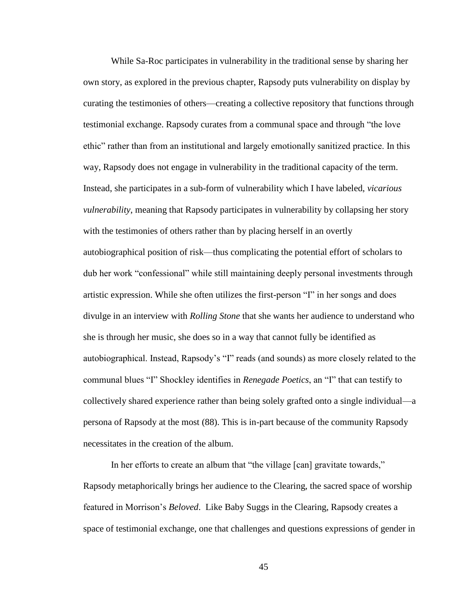While Sa-Roc participates in vulnerability in the traditional sense by sharing her own story, as explored in the previous chapter, Rapsody puts vulnerability on display by curating the testimonies of others—creating a collective repository that functions through testimonial exchange. Rapsody curates from a communal space and through "the love ethic" rather than from an institutional and largely emotionally sanitized practice. In this way, Rapsody does not engage in vulnerability in the traditional capacity of the term. Instead, she participates in a sub-form of vulnerability which I have labeled, *vicarious vulnerability*, meaning that Rapsody participates in vulnerability by collapsing her story with the testimonies of others rather than by placing herself in an overtly autobiographical position of risk—thus complicating the potential effort of scholars to dub her work "confessional" while still maintaining deeply personal investments through artistic expression. While she often utilizes the first-person "I" in her songs and does divulge in an interview with *Rolling Stone* that she wants her audience to understand who she is through her music, she does so in a way that cannot fully be identified as autobiographical. Instead, Rapsody's "I" reads (and sounds) as more closely related to the communal blues "I" Shockley identifies in *Renegade Poetics*, an "I" that can testify to collectively shared experience rather than being solely grafted onto a single individual—a persona of Rapsody at the most (88). This is in-part because of the community Rapsody necessitates in the creation of the album.

In her efforts to create an album that "the village [can] gravitate towards," Rapsody metaphorically brings her audience to the Clearing, the sacred space of worship featured in Morrison's *Beloved*. Like Baby Suggs in the Clearing, Rapsody creates a space of testimonial exchange, one that challenges and questions expressions of gender in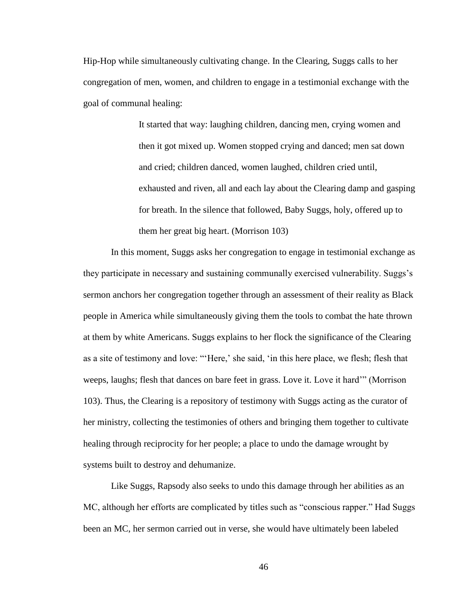Hip-Hop while simultaneously cultivating change. In the Clearing, Suggs calls to her congregation of men, women, and children to engage in a testimonial exchange with the goal of communal healing:

> It started that way: laughing children, dancing men, crying women and then it got mixed up. Women stopped crying and danced; men sat down and cried; children danced, women laughed, children cried until, exhausted and riven, all and each lay about the Clearing damp and gasping for breath. In the silence that followed, Baby Suggs, holy, offered up to them her great big heart. (Morrison 103)

In this moment, Suggs asks her congregation to engage in testimonial exchange as they participate in necessary and sustaining communally exercised vulnerability. Suggs's sermon anchors her congregation together through an assessment of their reality as Black people in America while simultaneously giving them the tools to combat the hate thrown at them by white Americans. Suggs explains to her flock the significance of the Clearing as a site of testimony and love: "'Here,' she said, 'in this here place, we flesh; flesh that weeps, laughs; flesh that dances on bare feet in grass. Love it. Love it hard'" (Morrison 103). Thus, the Clearing is a repository of testimony with Suggs acting as the curator of her ministry, collecting the testimonies of others and bringing them together to cultivate healing through reciprocity for her people; a place to undo the damage wrought by systems built to destroy and dehumanize.

Like Suggs, Rapsody also seeks to undo this damage through her abilities as an MC, although her efforts are complicated by titles such as "conscious rapper." Had Suggs been an MC, her sermon carried out in verse, she would have ultimately been labeled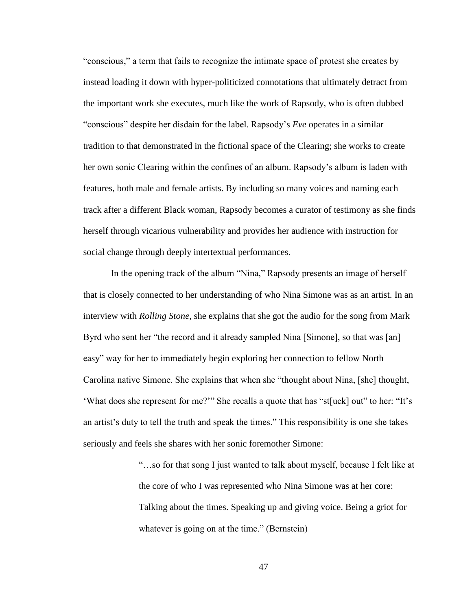"conscious," a term that fails to recognize the intimate space of protest she creates by instead loading it down with hyper-politicized connotations that ultimately detract from the important work she executes, much like the work of Rapsody, who is often dubbed "conscious" despite her disdain for the label. Rapsody's *Eve* operates in a similar tradition to that demonstrated in the fictional space of the Clearing; she works to create her own sonic Clearing within the confines of an album. Rapsody's album is laden with features, both male and female artists. By including so many voices and naming each track after a different Black woman, Rapsody becomes a curator of testimony as she finds herself through vicarious vulnerability and provides her audience with instruction for social change through deeply intertextual performances.

In the opening track of the album "Nina," Rapsody presents an image of herself that is closely connected to her understanding of who Nina Simone was as an artist. In an interview with *Rolling Stone*, she explains that she got the audio for the song from Mark Byrd who sent her "the record and it already sampled Nina [Simone], so that was [an] easy" way for her to immediately begin exploring her connection to fellow North Carolina native Simone. She explains that when she "thought about Nina, [she] thought, 'What does she represent for me?'" She recalls a quote that has "st[uck] out" to her: "It's an artist's duty to tell the truth and speak the times." This responsibility is one she takes seriously and feels she shares with her sonic foremother Simone:

> "…so for that song I just wanted to talk about myself, because I felt like at the core of who I was represented who Nina Simone was at her core: Talking about the times. Speaking up and giving voice. Being a griot for whatever is going on at the time." (Bernstein)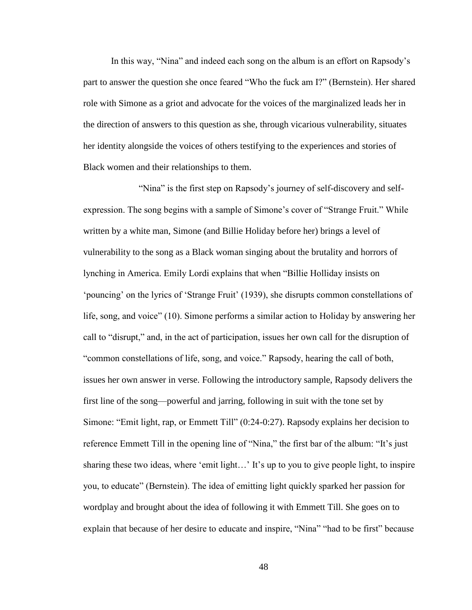In this way, "Nina" and indeed each song on the album is an effort on Rapsody's part to answer the question she once feared "Who the fuck am I?" (Bernstein). Her shared role with Simone as a griot and advocate for the voices of the marginalized leads her in the direction of answers to this question as she, through vicarious vulnerability, situates her identity alongside the voices of others testifying to the experiences and stories of Black women and their relationships to them.

"Nina" is the first step on Rapsody's journey of self-discovery and selfexpression. The song begins with a sample of Simone's cover of "Strange Fruit." While written by a white man, Simone (and Billie Holiday before her) brings a level of vulnerability to the song as a Black woman singing about the brutality and horrors of lynching in America. Emily Lordi explains that when "Billie Holliday insists on 'pouncing' on the lyrics of 'Strange Fruit' (1939), she disrupts common constellations of life, song, and voice" (10). Simone performs a similar action to Holiday by answering her call to "disrupt," and, in the act of participation, issues her own call for the disruption of "common constellations of life, song, and voice." Rapsody, hearing the call of both, issues her own answer in verse. Following the introductory sample, Rapsody delivers the first line of the song—powerful and jarring, following in suit with the tone set by Simone: "Emit light, rap, or Emmett Till" (0:24-0:27). Rapsody explains her decision to reference Emmett Till in the opening line of "Nina," the first bar of the album: "It's just sharing these two ideas, where 'emit light…' It's up to you to give people light, to inspire you, to educate" (Bernstein). The idea of emitting light quickly sparked her passion for wordplay and brought about the idea of following it with Emmett Till. She goes on to explain that because of her desire to educate and inspire, "Nina" "had to be first" because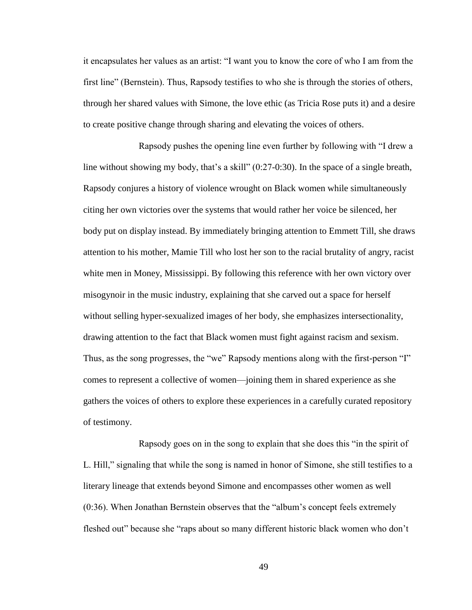it encapsulates her values as an artist: "I want you to know the core of who I am from the first line" (Bernstein). Thus, Rapsody testifies to who she is through the stories of others, through her shared values with Simone, the love ethic (as Tricia Rose puts it) and a desire to create positive change through sharing and elevating the voices of others.

Rapsody pushes the opening line even further by following with "I drew a line without showing my body, that's a skill" (0:27-0:30). In the space of a single breath, Rapsody conjures a history of violence wrought on Black women while simultaneously citing her own victories over the systems that would rather her voice be silenced, her body put on display instead. By immediately bringing attention to Emmett Till, she draws attention to his mother, Mamie Till who lost her son to the racial brutality of angry, racist white men in Money, Mississippi. By following this reference with her own victory over misogynoir in the music industry, explaining that she carved out a space for herself without selling hyper-sexualized images of her body, she emphasizes intersectionality, drawing attention to the fact that Black women must fight against racism and sexism. Thus, as the song progresses, the "we" Rapsody mentions along with the first-person "I" comes to represent a collective of women—joining them in shared experience as she gathers the voices of others to explore these experiences in a carefully curated repository of testimony.

Rapsody goes on in the song to explain that she does this "in the spirit of L. Hill," signaling that while the song is named in honor of Simone, she still testifies to a literary lineage that extends beyond Simone and encompasses other women as well (0:36). When Jonathan Bernstein observes that the "album's concept feels extremely fleshed out" because she "raps about so many different historic black women who don't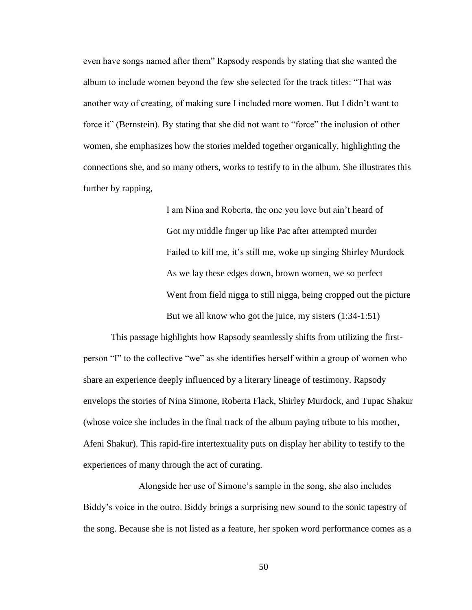even have songs named after them" Rapsody responds by stating that she wanted the album to include women beyond the few she selected for the track titles: "That was another way of creating, of making sure I included more women. But I didn't want to force it" (Bernstein). By stating that she did not want to "force" the inclusion of other women, she emphasizes how the stories melded together organically, highlighting the connections she, and so many others, works to testify to in the album. She illustrates this further by rapping,

> I am Nina and Roberta, the one you love but ain't heard of Got my middle finger up like Pac after attempted murder Failed to kill me, it's still me, woke up singing Shirley Murdock As we lay these edges down, brown women, we so perfect Went from field nigga to still nigga, being cropped out the picture But we all know who got the juice, my sisters (1:34-1:51)

This passage highlights how Rapsody seamlessly shifts from utilizing the firstperson "I" to the collective "we" as she identifies herself within a group of women who share an experience deeply influenced by a literary lineage of testimony. Rapsody envelops the stories of Nina Simone, Roberta Flack, Shirley Murdock, and Tupac Shakur (whose voice she includes in the final track of the album paying tribute to his mother, Afeni Shakur). This rapid-fire intertextuality puts on display her ability to testify to the experiences of many through the act of curating.

Alongside her use of Simone's sample in the song, she also includes Biddy's voice in the outro. Biddy brings a surprising new sound to the sonic tapestry of the song. Because she is not listed as a feature, her spoken word performance comes as a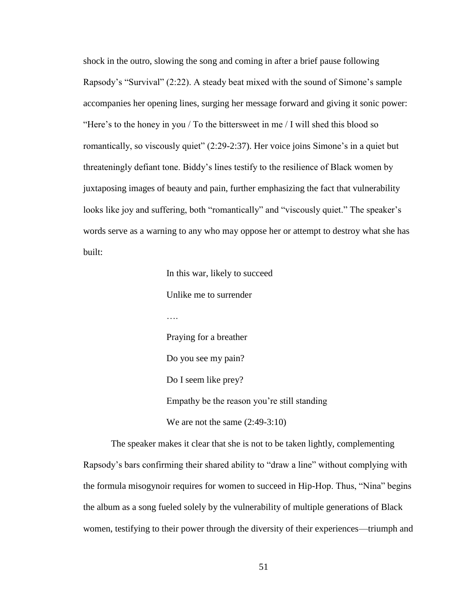shock in the outro, slowing the song and coming in after a brief pause following Rapsody's "Survival" (2:22). A steady beat mixed with the sound of Simone's sample accompanies her opening lines, surging her message forward and giving it sonic power: "Here's to the honey in you / To the bittersweet in me / I will shed this blood so romantically, so viscously quiet" (2:29-2:37). Her voice joins Simone's in a quiet but threateningly defiant tone. Biddy's lines testify to the resilience of Black women by juxtaposing images of beauty and pain, further emphasizing the fact that vulnerability looks like joy and suffering, both "romantically" and "viscously quiet." The speaker's words serve as a warning to any who may oppose her or attempt to destroy what she has built:

> In this war, likely to succeed Unlike me to surrender …. Praying for a breather Do you see my pain? Do I seem like prey? Empathy be the reason you're still standing We are not the same  $(2:49-3:10)$

The speaker makes it clear that she is not to be taken lightly, complementing Rapsody's bars confirming their shared ability to "draw a line" without complying with the formula misogynoir requires for women to succeed in Hip-Hop. Thus, "Nina" begins the album as a song fueled solely by the vulnerability of multiple generations of Black women, testifying to their power through the diversity of their experiences—triumph and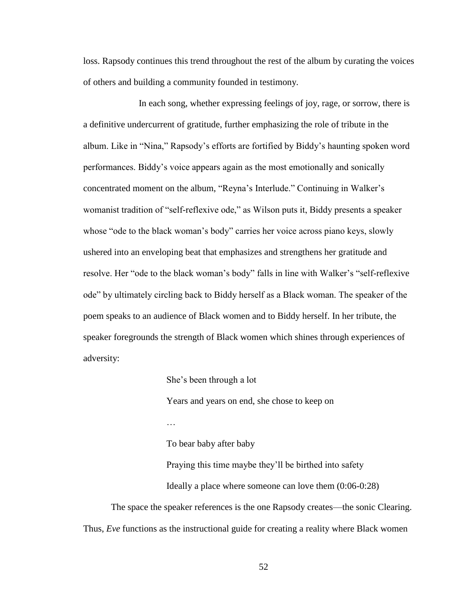loss. Rapsody continues this trend throughout the rest of the album by curating the voices of others and building a community founded in testimony.

In each song, whether expressing feelings of joy, rage, or sorrow, there is a definitive undercurrent of gratitude, further emphasizing the role of tribute in the album. Like in "Nina," Rapsody's efforts are fortified by Biddy's haunting spoken word performances. Biddy's voice appears again as the most emotionally and sonically concentrated moment on the album, "Reyna's Interlude." Continuing in Walker's womanist tradition of "self-reflexive ode," as Wilson puts it, Biddy presents a speaker whose "ode to the black woman's body" carries her voice across piano keys, slowly ushered into an enveloping beat that emphasizes and strengthens her gratitude and resolve. Her "ode to the black woman's body" falls in line with Walker's "self-reflexive ode" by ultimately circling back to Biddy herself as a Black woman. The speaker of the poem speaks to an audience of Black women and to Biddy herself. In her tribute, the speaker foregrounds the strength of Black women which shines through experiences of adversity:

> She's been through a lot Years and years on end, she chose to keep on … To bear baby after baby Praying this time maybe they'll be birthed into safety

Ideally a place where someone can love them (0:06-0:28)

The space the speaker references is the one Rapsody creates—the sonic Clearing. Thus, *Eve* functions as the instructional guide for creating a reality where Black women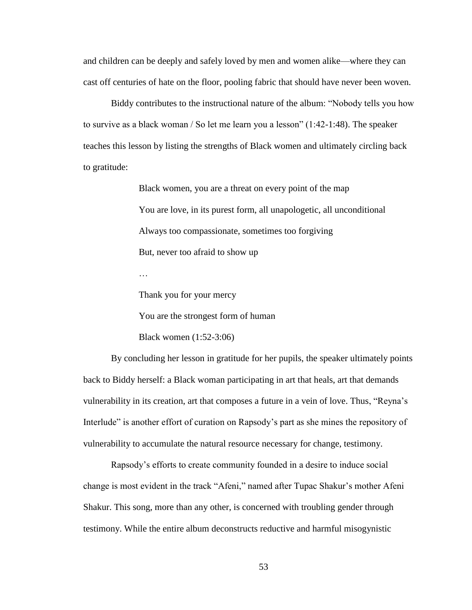and children can be deeply and safely loved by men and women alike—where they can cast off centuries of hate on the floor, pooling fabric that should have never been woven.

Biddy contributes to the instructional nature of the album: "Nobody tells you how to survive as a black woman / So let me learn you a lesson" (1:42-1:48). The speaker teaches this lesson by listing the strengths of Black women and ultimately circling back to gratitude:

> Black women, you are a threat on every point of the map You are love, in its purest form, all unapologetic, all unconditional Always too compassionate, sometimes too forgiving But, never too afraid to show up

…

Thank you for your mercy

You are the strongest form of human

Black women (1:52-3:06)

By concluding her lesson in gratitude for her pupils, the speaker ultimately points back to Biddy herself: a Black woman participating in art that heals, art that demands vulnerability in its creation, art that composes a future in a vein of love. Thus, "Reyna's Interlude" is another effort of curation on Rapsody's part as she mines the repository of vulnerability to accumulate the natural resource necessary for change, testimony.

Rapsody's efforts to create community founded in a desire to induce social change is most evident in the track "Afeni," named after Tupac Shakur's mother Afeni Shakur. This song, more than any other, is concerned with troubling gender through testimony. While the entire album deconstructs reductive and harmful misogynistic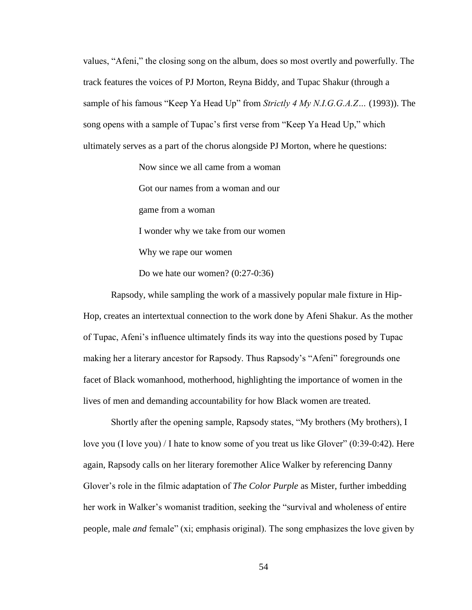values, "Afeni," the closing song on the album, does so most overtly and powerfully. The track features the voices of PJ Morton, Reyna Biddy, and Tupac Shakur (through a sample of his famous "Keep Ya Head Up" from *Strictly 4 My N.I.G.G.A.Z…* (1993)). The song opens with a sample of Tupac's first verse from "Keep Ya Head Up," which ultimately serves as a part of the chorus alongside PJ Morton, where he questions:

> Now since we all came from a woman Got our names from a woman and our game from a woman I wonder why we take from our women Why we rape our women Do we hate our women? (0:27-0:36)

Rapsody, while sampling the work of a massively popular male fixture in Hip-Hop, creates an intertextual connection to the work done by Afeni Shakur. As the mother of Tupac, Afeni's influence ultimately finds its way into the questions posed by Tupac making her a literary ancestor for Rapsody. Thus Rapsody's "Afeni" foregrounds one facet of Black womanhood, motherhood, highlighting the importance of women in the lives of men and demanding accountability for how Black women are treated.

Shortly after the opening sample, Rapsody states, "My brothers (My brothers), I love you (I love you) / I hate to know some of you treat us like Glover" (0:39-0:42). Here again, Rapsody calls on her literary foremother Alice Walker by referencing Danny Glover's role in the filmic adaptation of *The Color Purple* as Mister, further imbedding her work in Walker's womanist tradition, seeking the "survival and wholeness of entire people, male *and* female" (xi; emphasis original). The song emphasizes the love given by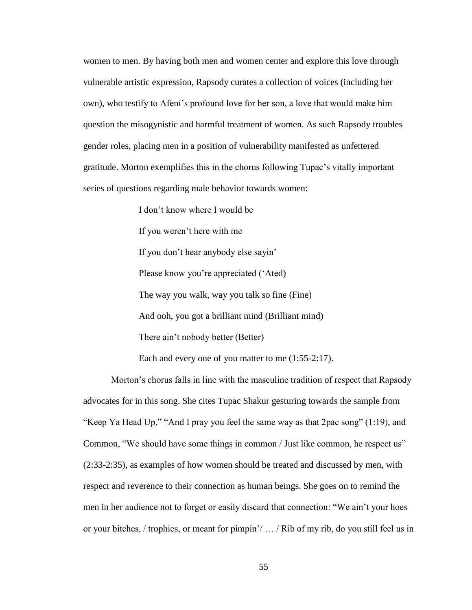women to men. By having both men and women center and explore this love through vulnerable artistic expression, Rapsody curates a collection of voices (including her own), who testify to Afeni's profound love for her son, a love that would make him question the misogynistic and harmful treatment of women. As such Rapsody troubles gender roles, placing men in a position of vulnerability manifested as unfettered gratitude. Morton exemplifies this in the chorus following Tupac's vitally important series of questions regarding male behavior towards women:

> I don't know where I would be If you weren't here with me If you don't hear anybody else sayin' Please know you're appreciated ('Ated) The way you walk, way you talk so fine (Fine) And ooh, you got a brilliant mind (Brilliant mind) There ain't nobody better (Better) Each and every one of you matter to me (1:55-2:17).

Morton's chorus falls in line with the masculine tradition of respect that Rapsody advocates for in this song. She cites Tupac Shakur gesturing towards the sample from "Keep Ya Head Up," "And I pray you feel the same way as that 2pac song" (1:19), and Common, "We should have some things in common / Just like common, he respect us" (2:33-2:35), as examples of how women should be treated and discussed by men, with respect and reverence to their connection as human beings. She goes on to remind the men in her audience not to forget or easily discard that connection: "We ain't your hoes or your bitches, / trophies, or meant for pimpin'/ … / Rib of my rib, do you still feel us in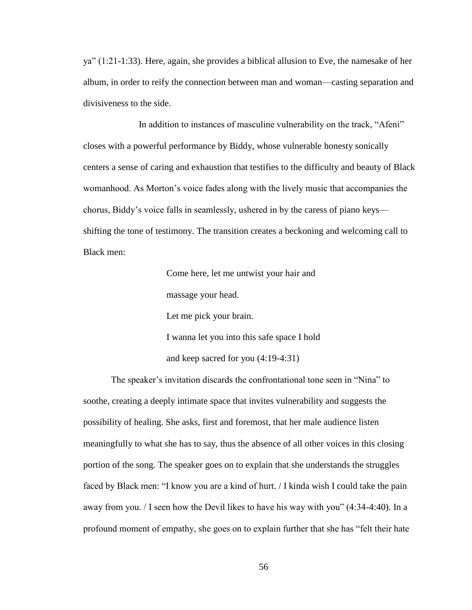ya" (1:21-1:33). Here, again, she provides a biblical allusion to Eve, the namesake of her album, in order to reify the connection between man and woman—casting separation and divisiveness to the side.

In addition to instances of masculine vulnerability on the track, "Afeni" closes with a powerful performance by Biddy, whose vulnerable honesty sonically centers a sense of caring and exhaustion that testifies to the difficulty and beauty of Black womanhood. As Morton's voice fades along with the lively music that accompanies the chorus, Biddy's voice falls in seamlessly, ushered in by the caress of piano keys shifting the tone of testimony. The transition creates a beckoning and welcoming call to Black men:

> Come here, let me untwist your hair and massage your head. Let me pick your brain. I wanna let you into this safe space I hold and keep sacred for you (4:19-4:31)

The speaker's invitation discards the confrontational tone seen in "Nina" to soothe, creating a deeply intimate space that invites vulnerability and suggests the possibility of healing. She asks, first and foremost, that her male audience listen meaningfully to what she has to say, thus the absence of all other voices in this closing portion of the song. The speaker goes on to explain that she understands the struggles faced by Black men: "I know you are a kind of hurt. / I kinda wish I could take the pain away from you. / I seen how the Devil likes to have his way with you" (4:34-4:40). In a profound moment of empathy, she goes on to explain further that she has "felt their hate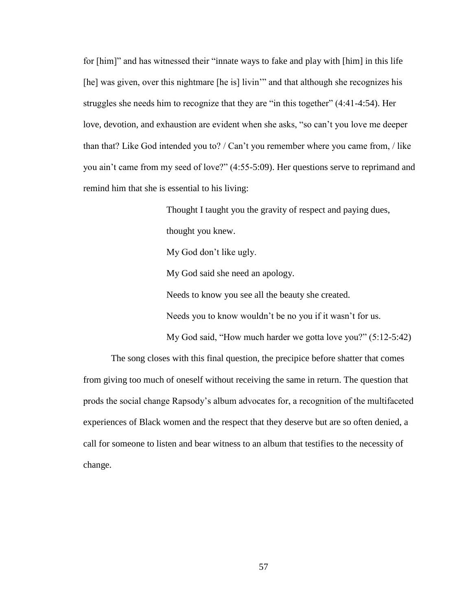for [him]" and has witnessed their "innate ways to fake and play with [him] in this life [he] was given, over this nightmare [he is] livin'" and that although she recognizes his struggles she needs him to recognize that they are "in this together" (4:41-4:54). Her love, devotion, and exhaustion are evident when she asks, "so can't you love me deeper than that? Like God intended you to? / Can't you remember where you came from, / like you ain't came from my seed of love?" (4:55-5:09). Her questions serve to reprimand and remind him that she is essential to his living:

> Thought I taught you the gravity of respect and paying dues, thought you knew.

My God don't like ugly.

My God said she need an apology.

Needs to know you see all the beauty she created.

Needs you to know wouldn't be no you if it wasn't for us.

My God said, "How much harder we gotta love you?" (5:12-5:42)

The song closes with this final question, the precipice before shatter that comes from giving too much of oneself without receiving the same in return. The question that prods the social change Rapsody's album advocates for, a recognition of the multifaceted experiences of Black women and the respect that they deserve but are so often denied, a call for someone to listen and bear witness to an album that testifies to the necessity of change.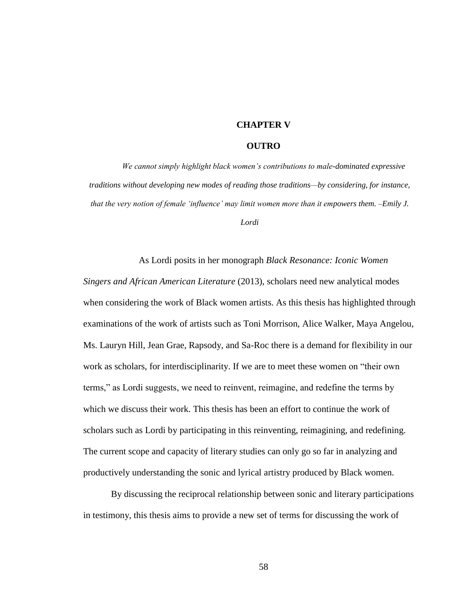#### **CHAPTER V**

#### **OUTRO**

*We cannot simply highlight black women's contributions to male-dominated expressive traditions without developing new modes of reading those traditions—by considering, for instance, that the very notion of female 'influence' may limit women more than it empowers them. –Emily J. Lordi* 

As Lordi posits in her monograph *Black Resonance: Iconic Women Singers and African American Literature* (2013), scholars need new analytical modes when considering the work of Black women artists. As this thesis has highlighted through examinations of the work of artists such as Toni Morrison, Alice Walker, Maya Angelou, Ms. Lauryn Hill, Jean Grae, Rapsody, and Sa-Roc there is a demand for flexibility in our work as scholars, for interdisciplinarity. If we are to meet these women on "their own terms," as Lordi suggests, we need to reinvent, reimagine, and redefine the terms by which we discuss their work. This thesis has been an effort to continue the work of scholars such as Lordi by participating in this reinventing, reimagining, and redefining. The current scope and capacity of literary studies can only go so far in analyzing and productively understanding the sonic and lyrical artistry produced by Black women.

By discussing the reciprocal relationship between sonic and literary participations in testimony, this thesis aims to provide a new set of terms for discussing the work of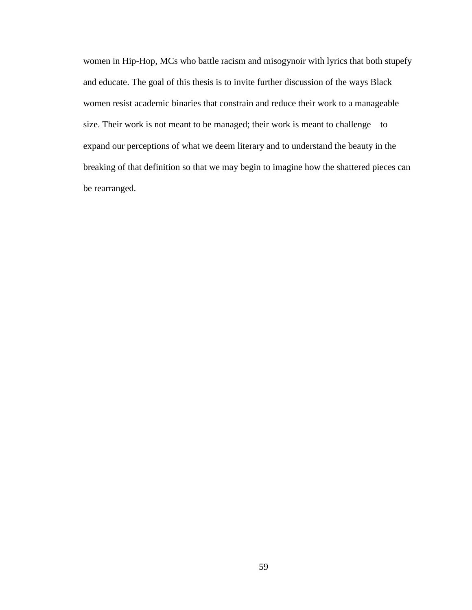women in Hip-Hop, MCs who battle racism and misogynoir with lyrics that both stupefy and educate. The goal of this thesis is to invite further discussion of the ways Black women resist academic binaries that constrain and reduce their work to a manageable size. Their work is not meant to be managed; their work is meant to challenge—to expand our perceptions of what we deem literary and to understand the beauty in the breaking of that definition so that we may begin to imagine how the shattered pieces can be rearranged.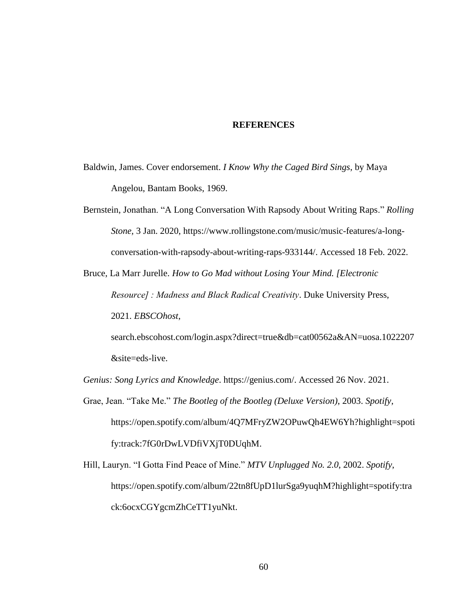#### **REFERENCES**

- Baldwin, James. Cover endorsement. *I Know Why the Caged Bird Sings*, by Maya Angelou, Bantam Books, 1969.
- Bernstein, Jonathan. "A Long Conversation With Rapsody About Writing Raps." *Rolling Stone,* 3 Jan. 2020, https://www.rollingstone.com/music/music-features/a-longconversation-with-rapsody-about-writing-raps-933144/. Accessed 18 Feb. 2022.
- Bruce, La Marr Jurelle. *How to Go Mad without Losing Your Mind. [Electronic Resource] : Madness and Black Radical Creativity*. Duke University Press, 2021. *EBSCOhost*, search.ebscohost.com/login.aspx?direct=true&db=cat00562a&AN=uosa.1022207

&site=eds-live.

*Genius: Song Lyrics and Knowledge*. https://genius.com/. Accessed 26 Nov. 2021.

- Grae, Jean. "Take Me." *The Bootleg of the Bootleg (Deluxe Version)*, 2003. *Spotify*, https://open.spotify.com/album/4Q7MFryZW2OPuwQh4EW6Yh?highlight=spoti fy:track:7fG0rDwLVDfiVXjT0DUqhM.
- Hill, Lauryn. "I Gotta Find Peace of Mine." *MTV Unplugged No. 2.0*, 2002. *Spotify*, https://open.spotify.com/album/22tn8fUpD1lurSga9yuqhM?highlight=spotify:tra ck:6ocxCGYgcmZhCeTT1yuNkt.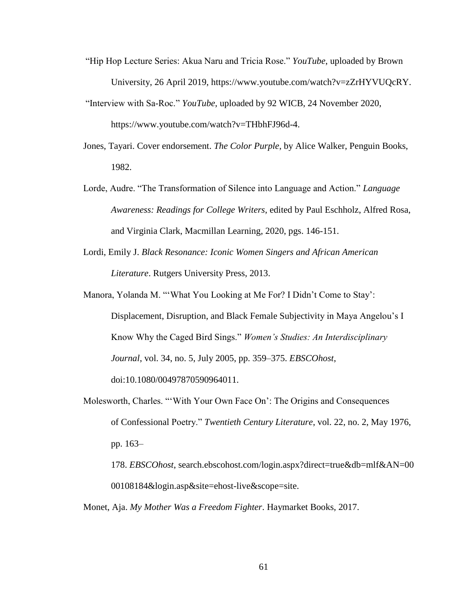- "Hip Hop Lecture Series: Akua Naru and Tricia Rose." *YouTube*, uploaded by Brown University, 26 April 2019, https://www.youtube.com/watch?v=zZrHYVUQcRY.
- "Interview with Sa-Roc." *YouTube*, uploaded by 92 WICB, 24 November 2020, https://www.youtube.com/watch?v=THbhFJ96d-4.
- Jones, Tayari. Cover endorsement. *The Color Purple*, by Alice Walker, Penguin Books, 1982.
- Lorde, Audre. "The Transformation of Silence into Language and Action." *Language Awareness: Readings for College Writers*, edited by Paul Eschholz, Alfred Rosa, and Virginia Clark, Macmillan Learning, 2020, pgs. 146-151.
- Lordi, Emily J. *Black Resonance: Iconic Women Singers and African American Literature*. Rutgers University Press, 2013.

Manora, Yolanda M. "'What You Looking at Me For? I Didn't Come to Stay': Displacement, Disruption, and Black Female Subjectivity in Maya Angelou's I Know Why the Caged Bird Sings." *Women's Studies: An Interdisciplinary Journal*, vol. 34, no. 5, July 2005, pp. 359–375. *EBSCOhost*, doi:10.1080/00497870590964011.

Molesworth, Charles. "'With Your Own Face On': The Origins and Consequences of Confessional Poetry." *Twentieth Century Literature*, vol. 22, no. 2, May 1976, pp. 163–

178. *EBSCOhost*, search.ebscohost.com/login.aspx?direct=true&db=mlf&AN=00 00108184&login.asp&site=ehost-live&scope=site.

Monet, Aja. *My Mother Was a Freedom Fighter*. Haymarket Books, 2017.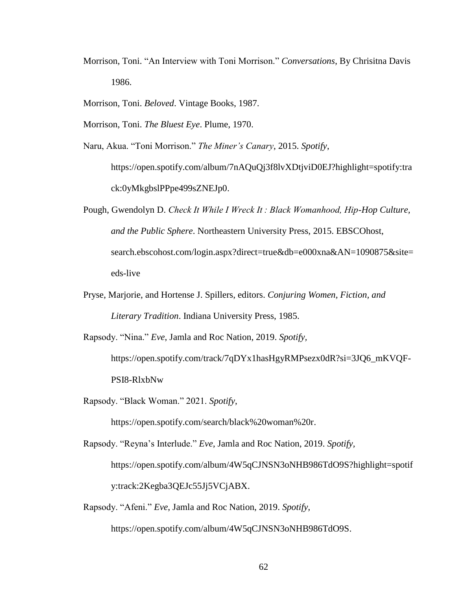- Morrison, Toni. "An Interview with Toni Morrison." *Conversations*, By Chrisitna Davis 1986.
- Morrison, Toni. *Beloved*. Vintage Books, 1987.
- Morrison, Toni. *The Bluest Eye*. Plume, 1970.
- Naru, Akua. "Toni Morrison." *The Miner's Canary*, 2015. *Spotify*, https://open.spotify.com/album/7nAQuQj3f8lvXDtjviD0EJ?highlight=spotify:tra ck:0yMkgbslPPpe499sZNEJp0.
- Pough, Gwendolyn D. *Check It While I Wreck It : Black Womanhood, Hip-Hop Culture, and the Public Sphere*. Northeastern University Press, 2015. EBSCOhost, search.ebscohost.com/login.aspx?direct=true&db=e000xna&AN=1090875&site= eds-live
- Pryse, Marjorie, and Hortense J. Spillers, editors. *Conjuring Women, Fiction, and Literary Tradition*. Indiana University Press, 1985.
- Rapsody. "Nina." *Eve*, Jamla and Roc Nation, 2019. *Spotify,*

https://open.spotify.com/track/7qDYx1hasHgyRMPsezx0dR?si=3JQ6\_mKVQF-PSI8-RlxbNw

Rapsody. "Black Woman." 2021. *Spotify*,

https://open.spotify.com/search/black%20woman%20r.

- Rapsody. "Reyna's Interlude." *Eve*, Jamla and Roc Nation, 2019. *Spotify,* https://open.spotify.com/album/4W5qCJNSN3oNHB986TdO9S?highlight=spotif y:track:2Kegba3QEJc55Jj5VCjABX.
- Rapsody. "Afeni." *Eve*, Jamla and Roc Nation, 2019. *Spotify,*

https://open.spotify.com/album/4W5qCJNSN3oNHB986TdO9S.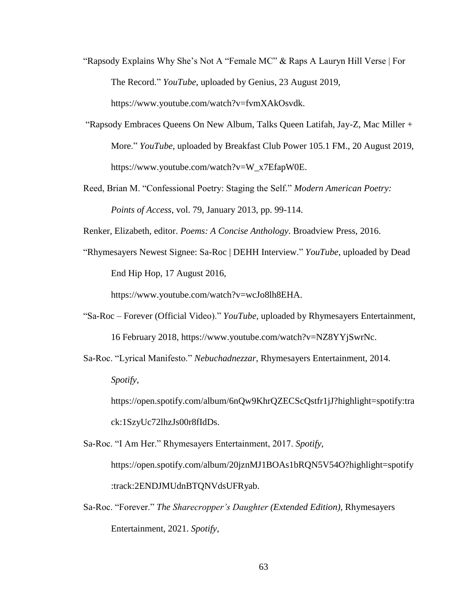- "Rapsody Explains Why She's Not A "Female MC" & Raps A Lauryn Hill Verse | For The Record." *YouTube*, uploaded by Genius, 23 August 2019, https://www.youtube.com/watch?v=fvmXAkOsvdk.
- "Rapsody Embraces Queens On New Album, Talks Queen Latifah, Jay-Z, Mac Miller + More." *YouTube*, uploaded by Breakfast Club Power 105.1 FM., 20 August 2019, https://www.youtube.com/watch?v=W\_x7EfapW0E.
- Reed, Brian M. "Confessional Poetry: Staging the Self." *Modern American Poetry: Points of Access*, vol. 79, January 2013, pp. 99-114.

Renker, Elizabeth, editor. *Poems: A Concise Anthology*. Broadview Press, 2016.

"Rhymesayers Newest Signee: Sa-Roc | DEHH Interview." *YouTube*, uploaded by Dead End Hip Hop, 17 August 2016,

https://www.youtube.com/watch?v=wcJo8lh8EHA.

- "Sa-Roc Forever (Official Video)." *YouTube*, uploaded by Rhymesayers Entertainment, 16 February 2018, https://www.youtube.com/watch?v=NZ8YYjSwrNc.
- Sa-Roc. "Lyrical Manifesto." *Nebuchadnezzar*, Rhymesayers Entertainment, 2014. *Spotify*, https://open.spotify.com/album/6nQw9KhrQZECScQstfr1jJ?highlight=spotify:tra ck:1SzyUc72lhzJs00r8fIdDs.

Sa-Roc. "I Am Her." Rhymesayers Entertainment, 2017. *Spotify*, https://open.spotify.com/album/20jznMJ1BOAs1bRQN5V54O?highlight=spotify :track:2ENDJMUdnBTQNVdsUFRyab.

Sa-Roc. "Forever." *The Sharecropper's Daughter (Extended Edition)*, Rhymesayers Entertainment, 2021. *Spotify,*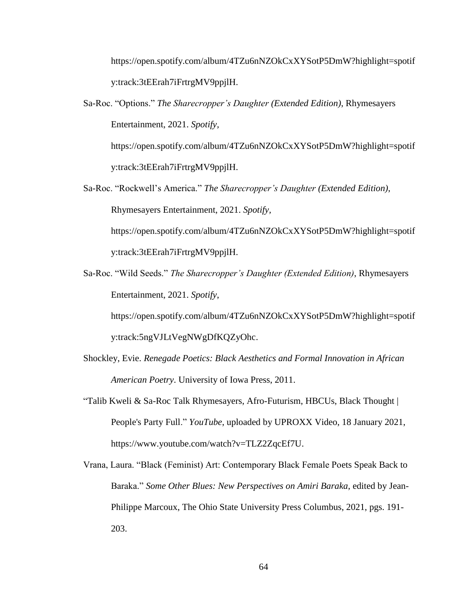https://open.spotify.com/album/4TZu6nNZOkCxXYSotP5DmW?highlight=spotif y:track:3tEErah7iFrtrgMV9ppjlH.

- Sa-Roc. "Options." *The Sharecropper's Daughter (Extended Edition)*, Rhymesayers Entertainment, 2021. *Spotify,* https://open.spotify.com/album/4TZu6nNZOkCxXYSotP5DmW?highlight=spotif y:track:3tEErah7iFrtrgMV9ppjlH.
- Sa-Roc. "Rockwell's America." *The Sharecropper's Daughter (Extended Edition)*, Rhymesayers Entertainment, 2021. *Spotify,* https://open.spotify.com/album/4TZu6nNZOkCxXYSotP5DmW?highlight=spotif y:track:3tEErah7iFrtrgMV9ppjlH.

Sa-Roc. "Wild Seeds." *The Sharecropper's Daughter (Extended Edition)*, Rhymesayers Entertainment, 2021. *Spotify*,

https://open.spotify.com/album/4TZu6nNZOkCxXYSotP5DmW?highlight=spotif y:track:5ngVJLtVegNWgDfKQZyOhc.

- Shockley, Evie. *Renegade Poetics: Black Aesthetics and Formal Innovation in African American Poetry*. University of Iowa Press, 2011.
- "Talib Kweli & Sa-Roc Talk Rhymesayers, Afro-Futurism, HBCUs, Black Thought | People's Party Full." *YouTube*, uploaded by UPROXX Video, 18 January 2021, https://www.youtube.com/watch?v=TLZ2ZqcEf7U.
- Vrana, Laura. "Black (Feminist) Art: Contemporary Black Female Poets Speak Back to Baraka." *Some Other Blues: New Perspectives on Amiri Baraka*, edited by Jean-Philippe Marcoux, The Ohio State University Press Columbus, 2021, pgs. 191- 203.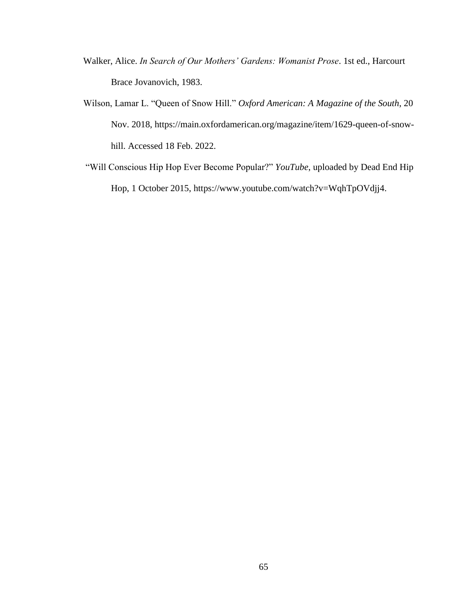- Walker, Alice. *In Search of Our Mothers' Gardens: Womanist Prose*. 1st ed., Harcourt Brace Jovanovich, 1983.
- Wilson, Lamar L. "Queen of Snow Hill." *Oxford American: A Magazine of the South*, 20 Nov. 2018, https://main.oxfordamerican.org/magazine/item/1629-queen-of-snowhill. Accessed 18 Feb. 2022.
- "Will Conscious Hip Hop Ever Become Popular?" *YouTube*, uploaded by Dead End Hip Hop, 1 October 2015, https://www.youtube.com/watch?v=WqhTpOVdjj4.